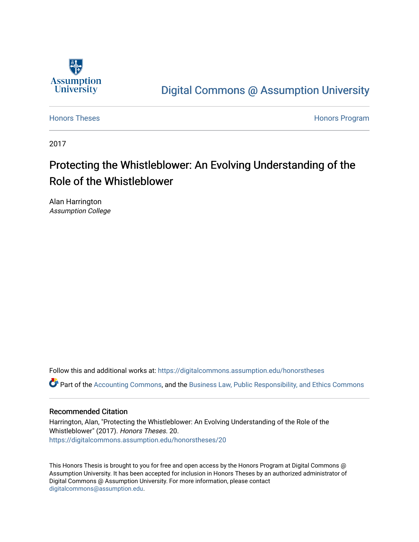

## [Digital Commons @ Assumption University](https://digitalcommons.assumption.edu/)

[Honors Theses](https://digitalcommons.assumption.edu/honorstheses) **Honors** Program

2017

# Protecting the Whistleblower: An Evolving Understanding of the Role of the Whistleblower

Alan Harrington Assumption College

Follow this and additional works at: [https://digitalcommons.assumption.edu/honorstheses](https://digitalcommons.assumption.edu/honorstheses?utm_source=digitalcommons.assumption.edu%2Fhonorstheses%2F20&utm_medium=PDF&utm_campaign=PDFCoverPages)

Part of the [Accounting Commons](http://network.bepress.com/hgg/discipline/625?utm_source=digitalcommons.assumption.edu%2Fhonorstheses%2F20&utm_medium=PDF&utm_campaign=PDFCoverPages), and the [Business Law, Public Responsibility, and Ethics Commons](http://network.bepress.com/hgg/discipline/628?utm_source=digitalcommons.assumption.edu%2Fhonorstheses%2F20&utm_medium=PDF&utm_campaign=PDFCoverPages)

## Recommended Citation

Harrington, Alan, "Protecting the Whistleblower: An Evolving Understanding of the Role of the Whistleblower" (2017). Honors Theses. 20. [https://digitalcommons.assumption.edu/honorstheses/20](https://digitalcommons.assumption.edu/honorstheses/20?utm_source=digitalcommons.assumption.edu%2Fhonorstheses%2F20&utm_medium=PDF&utm_campaign=PDFCoverPages) 

This Honors Thesis is brought to you for free and open access by the Honors Program at Digital Commons @ Assumption University. It has been accepted for inclusion in Honors Theses by an authorized administrator of Digital Commons @ Assumption University. For more information, please contact [digitalcommons@assumption.edu](mailto:digitalcommons@assumption.edu).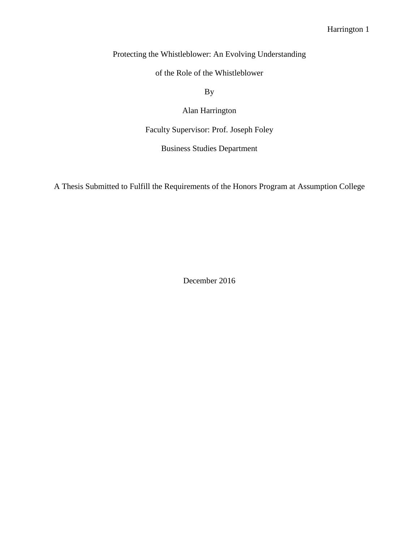Protecting the Whistleblower: An Evolving Understanding

of the Role of the Whistleblower

By

Alan Harrington

Faculty Supervisor: Prof. Joseph Foley

Business Studies Department

A Thesis Submitted to Fulfill the Requirements of the Honors Program at Assumption College

December 2016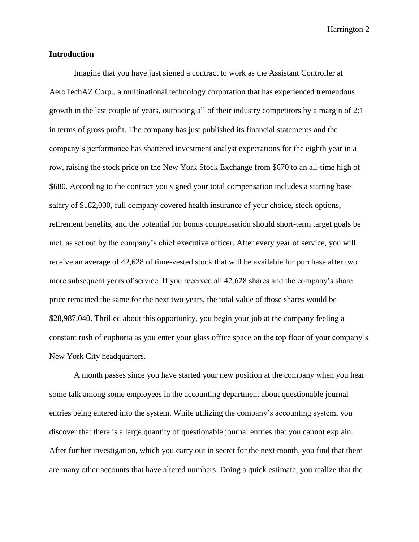#### **Introduction**

Imagine that you have just signed a contract to work as the Assistant Controller at AeroTechAZ Corp., a multinational technology corporation that has experienced tremendous growth in the last couple of years, outpacing all of their industry competitors by a margin of 2:1 in terms of gross profit. The company has just published its financial statements and the company's performance has shattered investment analyst expectations for the eighth year in a row, raising the stock price on the New York Stock Exchange from \$670 to an all-time high of \$680. According to the contract you signed your total compensation includes a starting base salary of \$182,000, full company covered health insurance of your choice, stock options, retirement benefits, and the potential for bonus compensation should short-term target goals be met, as set out by the company's chief executive officer. After every year of service, you will receive an average of 42,628 of time-vested stock that will be available for purchase after two more subsequent years of service. If you received all 42,628 shares and the company's share price remained the same for the next two years, the total value of those shares would be \$28,987,040. Thrilled about this opportunity, you begin your job at the company feeling a constant rush of euphoria as you enter your glass office space on the top floor of your company's New York City headquarters.

A month passes since you have started your new position at the company when you hear some talk among some employees in the accounting department about questionable journal entries being entered into the system. While utilizing the company's accounting system, you discover that there is a large quantity of questionable journal entries that you cannot explain. After further investigation, which you carry out in secret for the next month, you find that there are many other accounts that have altered numbers. Doing a quick estimate, you realize that the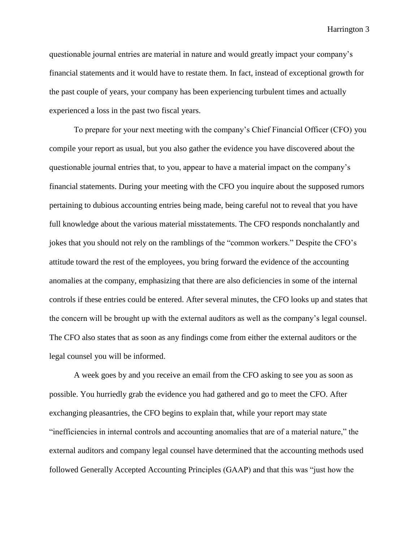questionable journal entries are material in nature and would greatly impact your company's financial statements and it would have to restate them. In fact, instead of exceptional growth for the past couple of years, your company has been experiencing turbulent times and actually experienced a loss in the past two fiscal years.

To prepare for your next meeting with the company's Chief Financial Officer (CFO) you compile your report as usual, but you also gather the evidence you have discovered about the questionable journal entries that, to you, appear to have a material impact on the company's financial statements. During your meeting with the CFO you inquire about the supposed rumors pertaining to dubious accounting entries being made, being careful not to reveal that you have full knowledge about the various material misstatements. The CFO responds nonchalantly and jokes that you should not rely on the ramblings of the "common workers." Despite the CFO's attitude toward the rest of the employees, you bring forward the evidence of the accounting anomalies at the company, emphasizing that there are also deficiencies in some of the internal controls if these entries could be entered. After several minutes, the CFO looks up and states that the concern will be brought up with the external auditors as well as the company's legal counsel. The CFO also states that as soon as any findings come from either the external auditors or the legal counsel you will be informed.

A week goes by and you receive an email from the CFO asking to see you as soon as possible. You hurriedly grab the evidence you had gathered and go to meet the CFO. After exchanging pleasantries, the CFO begins to explain that, while your report may state "inefficiencies in internal controls and accounting anomalies that are of a material nature," the external auditors and company legal counsel have determined that the accounting methods used followed Generally Accepted Accounting Principles (GAAP) and that this was "just how the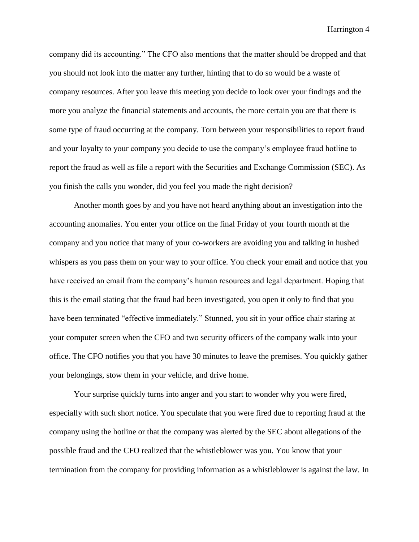company did its accounting." The CFO also mentions that the matter should be dropped and that you should not look into the matter any further, hinting that to do so would be a waste of company resources. After you leave this meeting you decide to look over your findings and the more you analyze the financial statements and accounts, the more certain you are that there is some type of fraud occurring at the company. Torn between your responsibilities to report fraud and your loyalty to your company you decide to use the company's employee fraud hotline to report the fraud as well as file a report with the Securities and Exchange Commission (SEC). As you finish the calls you wonder, did you feel you made the right decision?

Another month goes by and you have not heard anything about an investigation into the accounting anomalies. You enter your office on the final Friday of your fourth month at the company and you notice that many of your co-workers are avoiding you and talking in hushed whispers as you pass them on your way to your office. You check your email and notice that you have received an email from the company's human resources and legal department. Hoping that this is the email stating that the fraud had been investigated, you open it only to find that you have been terminated "effective immediately." Stunned, you sit in your office chair staring at your computer screen when the CFO and two security officers of the company walk into your office. The CFO notifies you that you have 30 minutes to leave the premises. You quickly gather your belongings, stow them in your vehicle, and drive home.

Your surprise quickly turns into anger and you start to wonder why you were fired, especially with such short notice. You speculate that you were fired due to reporting fraud at the company using the hotline or that the company was alerted by the SEC about allegations of the possible fraud and the CFO realized that the whistleblower was you. You know that your termination from the company for providing information as a whistleblower is against the law. In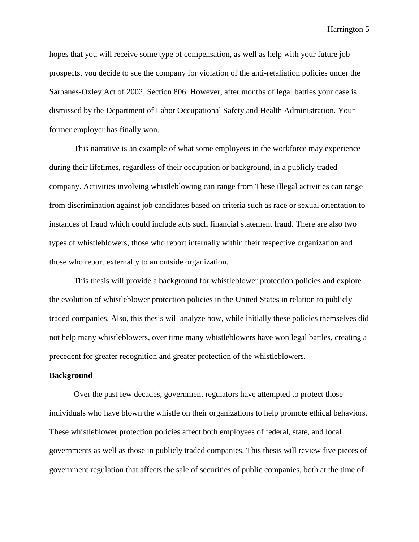hopes that you will receive some type of compensation, as well as help with your future job prospects, you decide to sue the company for violation of the anti-retaliation policies under the Sarbanes-Oxley Act of 2002, Section 806. However, after months of legal battles your case is dismissed by the Department of Labor Occupational Safety and Health Administration. Your former employer has finally won.

This narrative is an example of what some employees in the workforce may experience during their lifetimes, regardless of their occupation or background, in a publicly traded company. Activities involving whistleblowing can range from These illegal activities can range from discrimination against job candidates based on criteria such as race or sexual orientation to instances of fraud which could include acts such financial statement fraud. There are also two types of whistleblowers, those who report internally within their respective organization and those who report externally to an outside organization.

This thesis will provide a background for whistleblower protection policies and explore the evolution of whistleblower protection policies in the United States in relation to publicly traded companies. Also, this thesis will analyze how, while initially these policies themselves did not help many whistleblowers, over time many whistleblowers have won legal battles, creating a precedent for greater recognition and greater protection of the whistleblowers.

#### **Background**

Over the past few decades, government regulators have attempted to protect those individuals who have blown the whistle on their organizations to help promote ethical behaviors. These whistleblower protection policies affect both employees of federal, state, and local governments as well as those in publicly traded companies. This thesis will review five pieces of government regulation that affects the sale of securities of public companies, both at the time of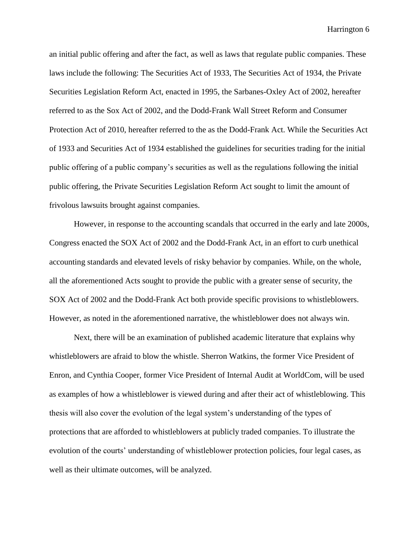an initial public offering and after the fact, as well as laws that regulate public companies. These laws include the following: The Securities Act of 1933, The Securities Act of 1934, the Private Securities Legislation Reform Act, enacted in 1995, the Sarbanes-Oxley Act of 2002, hereafter referred to as the Sox Act of 2002, and the Dodd-Frank Wall Street Reform and Consumer Protection Act of 2010, hereafter referred to the as the Dodd-Frank Act. While the Securities Act of 1933 and Securities Act of 1934 established the guidelines for securities trading for the initial public offering of a public company's securities as well as the regulations following the initial public offering, the Private Securities Legislation Reform Act sought to limit the amount of frivolous lawsuits brought against companies.

However, in response to the accounting scandals that occurred in the early and late 2000s, Congress enacted the SOX Act of 2002 and the Dodd-Frank Act, in an effort to curb unethical accounting standards and elevated levels of risky behavior by companies. While, on the whole, all the aforementioned Acts sought to provide the public with a greater sense of security, the SOX Act of 2002 and the Dodd-Frank Act both provide specific provisions to whistleblowers. However, as noted in the aforementioned narrative, the whistleblower does not always win.

Next, there will be an examination of published academic literature that explains why whistleblowers are afraid to blow the whistle. Sherron Watkins, the former Vice President of Enron, and Cynthia Cooper, former Vice President of Internal Audit at WorldCom, will be used as examples of how a whistleblower is viewed during and after their act of whistleblowing. This thesis will also cover the evolution of the legal system's understanding of the types of protections that are afforded to whistleblowers at publicly traded companies. To illustrate the evolution of the courts' understanding of whistleblower protection policies, four legal cases, as well as their ultimate outcomes, will be analyzed.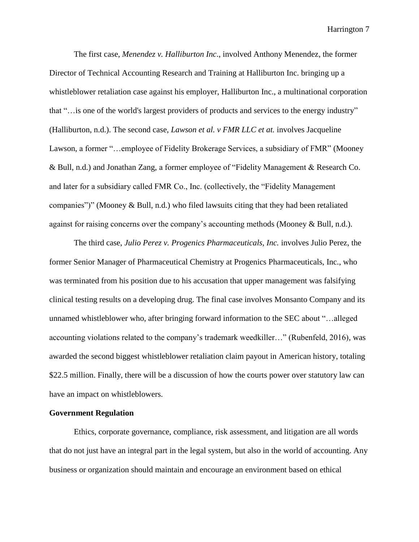The first case, *Menendez v. Halliburton Inc*., involved Anthony Menendez, the former Director of Technical Accounting Research and Training at Halliburton Inc. bringing up a whistleblower retaliation case against his employer, Halliburton Inc., a multinational corporation that "…is one of the world's largest providers of products and services to the energy industry" (Halliburton, n.d.). The second case, *Lawson et al. v FMR LLC et at.* involves Jacqueline Lawson, a former "…employee of Fidelity Brokerage Services, a subsidiary of FMR" (Mooney & Bull, n.d.) and Jonathan Zang, a former employee of "Fidelity Management & Research Co. and later for a subsidiary called FMR Co., Inc. (collectively, the "Fidelity Management companies")" (Mooney & Bull, n.d.) who filed lawsuits citing that they had been retaliated against for raising concerns over the company's accounting methods (Mooney & Bull, n.d.).

The third case, *Julio Perez v. Progenics Pharmaceuticals, Inc.* involves Julio Perez, the former Senior Manager of Pharmaceutical Chemistry at Progenics Pharmaceuticals, Inc., who was terminated from his position due to his accusation that upper management was falsifying clinical testing results on a developing drug. The final case involves Monsanto Company and its unnamed whistleblower who, after bringing forward information to the SEC about "…alleged accounting violations related to the company's trademark weedkiller…" (Rubenfeld, 2016), was awarded the second biggest whistleblower retaliation claim payout in American history, totaling \$22.5 million. Finally, there will be a discussion of how the courts power over statutory law can have an impact on whistleblowers.

## **Government Regulation**

Ethics, corporate governance, compliance, risk assessment, and litigation are all words that do not just have an integral part in the legal system, but also in the world of accounting. Any business or organization should maintain and encourage an environment based on ethical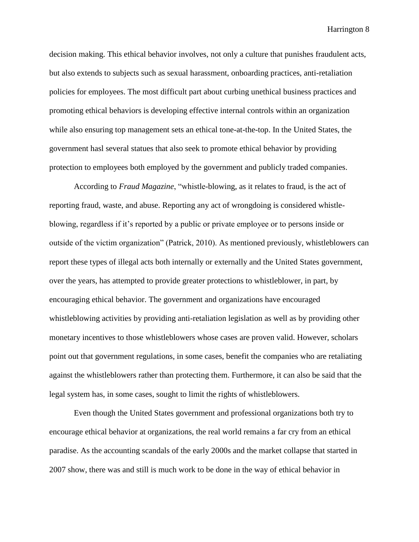decision making. This ethical behavior involves, not only a culture that punishes fraudulent acts, but also extends to subjects such as sexual harassment, onboarding practices, anti-retaliation policies for employees. The most difficult part about curbing unethical business practices and promoting ethical behaviors is developing effective internal controls within an organization while also ensuring top management sets an ethical tone-at-the-top. In the United States, the government hasl several statues that also seek to promote ethical behavior by providing protection to employees both employed by the government and publicly traded companies.

According to *Fraud Magazine*, "whistle-blowing, as it relates to fraud, is the act of reporting fraud, waste, and abuse. Reporting any act of wrongdoing is considered whistleblowing, regardless if it's reported by a public or private employee or to persons inside or outside of the victim organization" (Patrick, 2010). As mentioned previously, whistleblowers can report these types of illegal acts both internally or externally and the United States government, over the years, has attempted to provide greater protections to whistleblower, in part, by encouraging ethical behavior. The government and organizations have encouraged whistleblowing activities by providing anti-retaliation legislation as well as by providing other monetary incentives to those whistleblowers whose cases are proven valid. However, scholars point out that government regulations, in some cases, benefit the companies who are retaliating against the whistleblowers rather than protecting them. Furthermore, it can also be said that the legal system has, in some cases, sought to limit the rights of whistleblowers.

Even though the United States government and professional organizations both try to encourage ethical behavior at organizations, the real world remains a far cry from an ethical paradise. As the accounting scandals of the early 2000s and the market collapse that started in 2007 show, there was and still is much work to be done in the way of ethical behavior in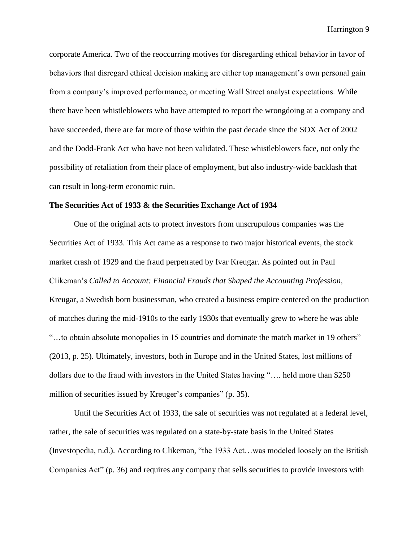corporate America. Two of the reoccurring motives for disregarding ethical behavior in favor of behaviors that disregard ethical decision making are either top management's own personal gain from a company's improved performance, or meeting Wall Street analyst expectations. While there have been whistleblowers who have attempted to report the wrongdoing at a company and have succeeded, there are far more of those within the past decade since the SOX Act of 2002 and the Dodd-Frank Act who have not been validated. These whistleblowers face, not only the possibility of retaliation from their place of employment, but also industry-wide backlash that can result in long-term economic ruin.

#### **The Securities Act of 1933 & the Securities Exchange Act of 1934**

One of the original acts to protect investors from unscrupulous companies was the Securities Act of 1933. This Act came as a response to two major historical events, the stock market crash of 1929 and the fraud perpetrated by Ivar Kreugar. As pointed out in Paul Clikeman's *Called to Account: Financial Frauds that Shaped the Accounting Profession*, Kreugar, a Swedish born businessman, who created a business empire centered on the production of matches during the mid-1910s to the early 1930s that eventually grew to where he was able "…to obtain absolute monopolies in 15 countries and dominate the match market in 19 others" (2013, p. 25). Ultimately, investors, both in Europe and in the United States, lost millions of dollars due to the fraud with investors in the United States having "…. held more than \$250 million of securities issued by Kreuger's companies" (p. 35).

Until the Securities Act of 1933, the sale of securities was not regulated at a federal level, rather, the sale of securities was regulated on a state-by-state basis in the United States (Investopedia, n.d.). According to Clikeman, "the 1933 Act…was modeled loosely on the British Companies Act" (p. 36) and requires any company that sells securities to provide investors with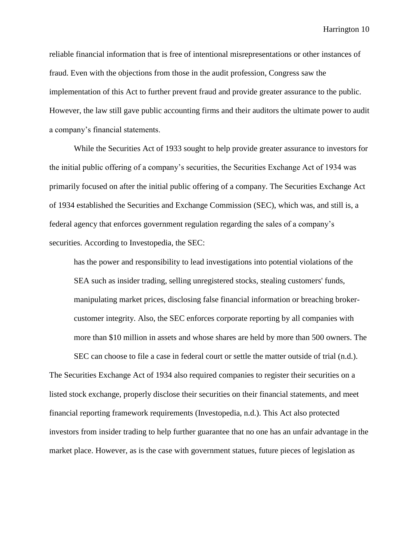reliable financial information that is free of intentional misrepresentations or other instances of fraud. Even with the objections from those in the audit profession, Congress saw the implementation of this Act to further prevent fraud and provide greater assurance to the public. However, the law still gave public accounting firms and their auditors the ultimate power to audit a company's financial statements.

While the Securities Act of 1933 sought to help provide greater assurance to investors for the initial public offering of a company's securities, the Securities Exchange Act of 1934 was primarily focused on after the initial public offering of a company. The Securities Exchange Act of 1934 established the Securities and Exchange Commission (SEC), which was, and still is, a federal agency that enforces government regulation regarding the sales of a company's securities. According to Investopedia, the SEC:

has the power and responsibility to lead investigations into potential violations of the SEA such as insider trading, selling unregistered stocks, stealing customers' funds, manipulating market prices, disclosing false financial information or breaching brokercustomer integrity. Also, the SEC enforces corporate reporting by all companies with more than \$10 million in assets and whose shares are held by more than 500 owners. The

SEC can choose to file a case in federal court or settle the matter outside of trial (n.d.).

The Securities Exchange Act of 1934 also required companies to register their securities on a listed stock exchange, properly disclose their securities on their financial statements, and meet financial reporting framework requirements (Investopedia, n.d.). This Act also protected investors from insider trading to help further guarantee that no one has an unfair advantage in the market place. However, as is the case with government statues, future pieces of legislation as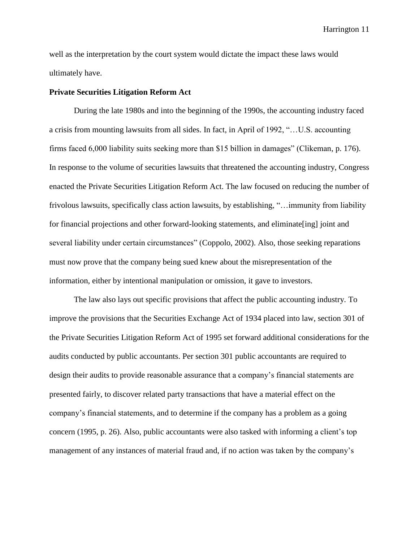well as the interpretation by the court system would dictate the impact these laws would ultimately have.

#### **Private Securities Litigation Reform Act**

During the late 1980s and into the beginning of the 1990s, the accounting industry faced a crisis from mounting lawsuits from all sides. In fact, in April of 1992, "…U.S. accounting firms faced 6,000 liability suits seeking more than \$15 billion in damages" (Clikeman, p. 176). In response to the volume of securities lawsuits that threatened the accounting industry, Congress enacted the Private Securities Litigation Reform Act. The law focused on reducing the number of frivolous lawsuits, specifically class action lawsuits, by establishing, "…immunity from liability for financial projections and other forward-looking statements, and eliminate[ing] joint and several liability under certain circumstances" (Coppolo, 2002). Also, those seeking reparations must now prove that the company being sued knew about the misrepresentation of the information, either by intentional manipulation or omission, it gave to investors.

The law also lays out specific provisions that affect the public accounting industry. To improve the provisions that the Securities Exchange Act of 1934 placed into law, section 301 of the Private Securities Litigation Reform Act of 1995 set forward additional considerations for the audits conducted by public accountants. Per section 301 public accountants are required to design their audits to provide reasonable assurance that a company's financial statements are presented fairly, to discover related party transactions that have a material effect on the company's financial statements, and to determine if the company has a problem as a going concern (1995, p. 26). Also, public accountants were also tasked with informing a client's top management of any instances of material fraud and, if no action was taken by the company's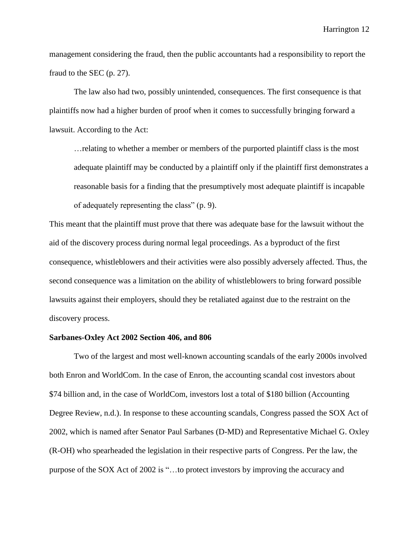management considering the fraud, then the public accountants had a responsibility to report the fraud to the SEC (p. 27).

The law also had two, possibly unintended, consequences. The first consequence is that plaintiffs now had a higher burden of proof when it comes to successfully bringing forward a lawsuit. According to the Act:

…relating to whether a member or members of the purported plaintiff class is the most adequate plaintiff may be conducted by a plaintiff only if the plaintiff first demonstrates a reasonable basis for a finding that the presumptively most adequate plaintiff is incapable of adequately representing the class" (p. 9).

This meant that the plaintiff must prove that there was adequate base for the lawsuit without the aid of the discovery process during normal legal proceedings. As a byproduct of the first consequence, whistleblowers and their activities were also possibly adversely affected. Thus, the second consequence was a limitation on the ability of whistleblowers to bring forward possible lawsuits against their employers, should they be retaliated against due to the restraint on the discovery process.

#### **Sarbanes-Oxley Act 2002 Section 406, and 806**

Two of the largest and most well-known accounting scandals of the early 2000s involved both Enron and WorldCom. In the case of Enron, the accounting scandal cost investors about \$74 billion and, in the case of WorldCom, investors lost a total of \$180 billion (Accounting Degree Review, n.d.). In response to these accounting scandals, Congress passed the SOX Act of 2002, which is named after Senator Paul Sarbanes (D-MD) and Representative Michael G. Oxley (R-OH) who spearheaded the legislation in their respective parts of Congress. Per the law, the purpose of the SOX Act of 2002 is "…to protect investors by improving the accuracy and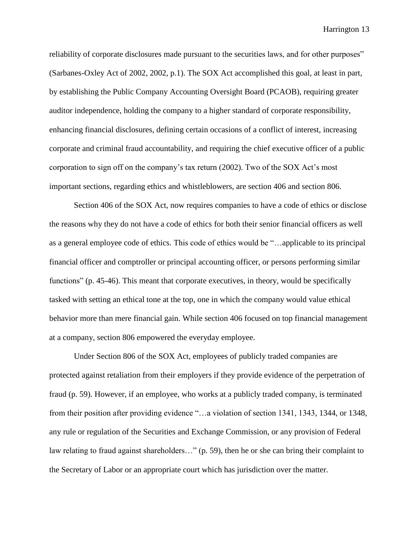reliability of corporate disclosures made pursuant to the securities laws, and for other purposes" (Sarbanes-Oxley Act of 2002, 2002, p.1). The SOX Act accomplished this goal, at least in part, by establishing the Public Company Accounting Oversight Board (PCAOB), requiring greater auditor independence, holding the company to a higher standard of corporate responsibility, enhancing financial disclosures, defining certain occasions of a conflict of interest, increasing corporate and criminal fraud accountability, and requiring the chief executive officer of a public corporation to sign off on the company's tax return (2002). Two of the SOX Act's most important sections, regarding ethics and whistleblowers, are section 406 and section 806.

Section 406 of the SOX Act, now requires companies to have a code of ethics or disclose the reasons why they do not have a code of ethics for both their senior financial officers as well as a general employee code of ethics. This code of ethics would be "…applicable to its principal financial officer and comptroller or principal accounting officer, or persons performing similar functions" (p. 45-46). This meant that corporate executives, in theory, would be specifically tasked with setting an ethical tone at the top, one in which the company would value ethical behavior more than mere financial gain. While section 406 focused on top financial management at a company, section 806 empowered the everyday employee.

Under Section 806 of the SOX Act, employees of publicly traded companies are protected against retaliation from their employers if they provide evidence of the perpetration of fraud (p. 59). However, if an employee, who works at a publicly traded company, is terminated from their position after providing evidence "…a violation of section 1341, 1343, 1344, or 1348, any rule or regulation of the Securities and Exchange Commission, or any provision of Federal law relating to fraud against shareholders…" (p. 59), then he or she can bring their complaint to the Secretary of Labor or an appropriate court which has jurisdiction over the matter.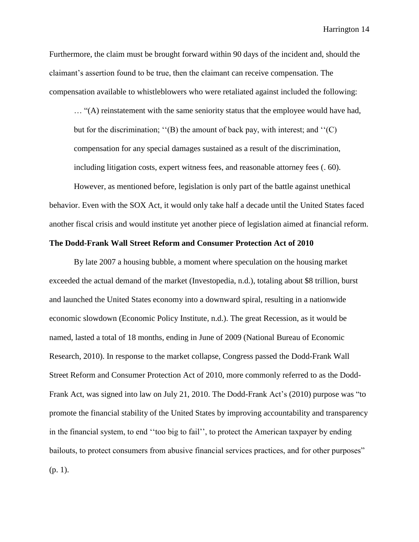Furthermore, the claim must be brought forward within 90 days of the incident and, should the claimant's assertion found to be true, then the claimant can receive compensation. The compensation available to whistleblowers who were retaliated against included the following:

… "(A) reinstatement with the same seniority status that the employee would have had, but for the discrimination;  $\lq\lq$  (B) the amount of back pay, with interest; and  $\lq\lq$  (C) compensation for any special damages sustained as a result of the discrimination, including litigation costs, expert witness fees, and reasonable attorney fees (. 60).

However, as mentioned before, legislation is only part of the battle against unethical behavior. Even with the SOX Act, it would only take half a decade until the United States faced another fiscal crisis and would institute yet another piece of legislation aimed at financial reform.

## **The Dodd-Frank Wall Street Reform and Consumer Protection Act of 2010**

By late 2007 a housing bubble, a moment where speculation on the housing market exceeded the actual demand of the market (Investopedia, n.d.), totaling about \$8 trillion, burst and launched the United States economy into a downward spiral, resulting in a nationwide economic slowdown (Economic Policy Institute, n.d.). The great Recession, as it would be named, lasted a total of 18 months, ending in June of 2009 (National Bureau of Economic Research, 2010). In response to the market collapse, Congress passed the Dodd-Frank Wall Street Reform and Consumer Protection Act of 2010, more commonly referred to as the Dodd-Frank Act, was signed into law on July 21, 2010. The Dodd-Frank Act's (2010) purpose was "to promote the financial stability of the United States by improving accountability and transparency in the financial system, to end ''too big to fail'', to protect the American taxpayer by ending bailouts, to protect consumers from abusive financial services practices, and for other purposes" (p. 1).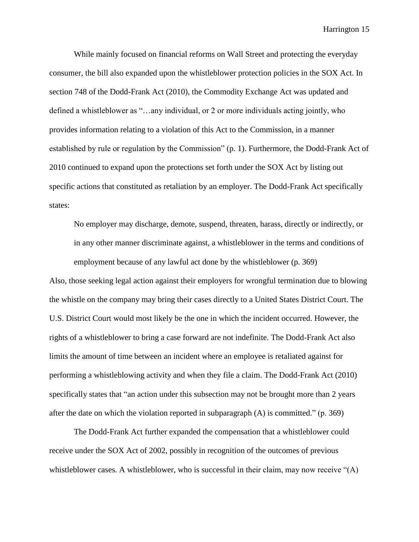While mainly focused on financial reforms on Wall Street and protecting the everyday consumer, the bill also expanded upon the whistleblower protection policies in the SOX Act. In section 748 of the Dodd-Frank Act (2010), the Commodity Exchange Act was updated and defined a whistleblower as "…any individual, or 2 or more individuals acting jointly, who provides information relating to a violation of this Act to the Commission, in a manner established by rule or regulation by the Commission" (p. 1). Furthermore, the Dodd-Frank Act of 2010 continued to expand upon the protections set forth under the SOX Act by listing out specific actions that constituted as retaliation by an employer. The Dodd-Frank Act specifically states:

No employer may discharge, demote, suspend, threaten, harass, directly or indirectly, or in any other manner discriminate against, a whistleblower in the terms and conditions of employment because of any lawful act done by the whistleblower (p. 369)

Also, those seeking legal action against their employers for wrongful termination due to blowing the whistle on the company may bring their cases directly to a United States District Court. The U.S. District Court would most likely be the one in which the incident occurred. However, the rights of a whistleblower to bring a case forward are not indefinite. The Dodd-Frank Act also limits the amount of time between an incident where an employee is retaliated against for performing a whistleblowing activity and when they file a claim. The Dodd-Frank Act (2010) specifically states that "an action under this subsection may not be brought more than 2 years after the date on which the violation reported in subparagraph (A) is committed." (p. 369)

The Dodd-Frank Act further expanded the compensation that a whistleblower could receive under the SOX Act of 2002, possibly in recognition of the outcomes of previous whistleblower cases. A whistleblower, who is successful in their claim, may now receive "(A)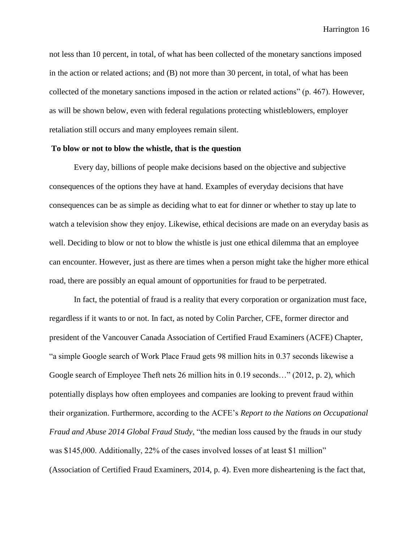not less than 10 percent, in total, of what has been collected of the monetary sanctions imposed in the action or related actions; and (B) not more than 30 percent, in total, of what has been collected of the monetary sanctions imposed in the action or related actions" (p. 467). However, as will be shown below, even with federal regulations protecting whistleblowers, employer retaliation still occurs and many employees remain silent.

#### **To blow or not to blow the whistle, that is the question**

Every day, billions of people make decisions based on the objective and subjective consequences of the options they have at hand. Examples of everyday decisions that have consequences can be as simple as deciding what to eat for dinner or whether to stay up late to watch a television show they enjoy. Likewise, ethical decisions are made on an everyday basis as well. Deciding to blow or not to blow the whistle is just one ethical dilemma that an employee can encounter. However, just as there are times when a person might take the higher more ethical road, there are possibly an equal amount of opportunities for fraud to be perpetrated.

In fact, the potential of fraud is a reality that every corporation or organization must face, regardless if it wants to or not. In fact, as noted by Colin Parcher, CFE, former director and president of the Vancouver Canada Association of Certified Fraud Examiners (ACFE) Chapter, "a simple Google search of Work Place Fraud gets 98 million hits in 0.37 seconds likewise a Google search of Employee Theft nets 26 million hits in 0.19 seconds…" (2012, p. 2), which potentially displays how often employees and companies are looking to prevent fraud within their organization. Furthermore, according to the ACFE's *Report to the Nations on Occupational Fraud and Abuse 2014 Global Fraud Study*, "the median loss caused by the frauds in our study was \$145,000. Additionally, 22% of the cases involved losses of at least \$1 million" (Association of Certified Fraud Examiners, 2014, p. 4). Even more disheartening is the fact that,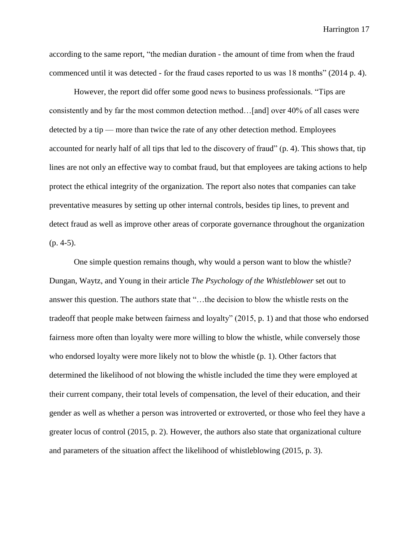according to the same report, "the median duration - the amount of time from when the fraud commenced until it was detected - for the fraud cases reported to us was 18 months" (2014 p. 4).

However, the report did offer some good news to business professionals. "Tips are consistently and by far the most common detection method…[and] over 40% of all cases were detected by a tip — more than twice the rate of any other detection method. Employees accounted for nearly half of all tips that led to the discovery of fraud" (p. 4). This shows that, tip lines are not only an effective way to combat fraud, but that employees are taking actions to help protect the ethical integrity of the organization. The report also notes that companies can take preventative measures by setting up other internal controls, besides tip lines, to prevent and detect fraud as well as improve other areas of corporate governance throughout the organization (p. 4-5).

One simple question remains though, why would a person want to blow the whistle? Dungan, Waytz, and Young in their article *The Psychology of the Whistleblower* set out to answer this question. The authors state that "…the decision to blow the whistle rests on the tradeoff that people make between fairness and loyalty" (2015, p. 1) and that those who endorsed fairness more often than loyalty were more willing to blow the whistle, while conversely those who endorsed loyalty were more likely not to blow the whistle (p. 1). Other factors that determined the likelihood of not blowing the whistle included the time they were employed at their current company, their total levels of compensation, the level of their education, and their gender as well as whether a person was introverted or extroverted, or those who feel they have a greater locus of control (2015, p. 2). However, the authors also state that organizational culture and parameters of the situation affect the likelihood of whistleblowing (2015, p. 3).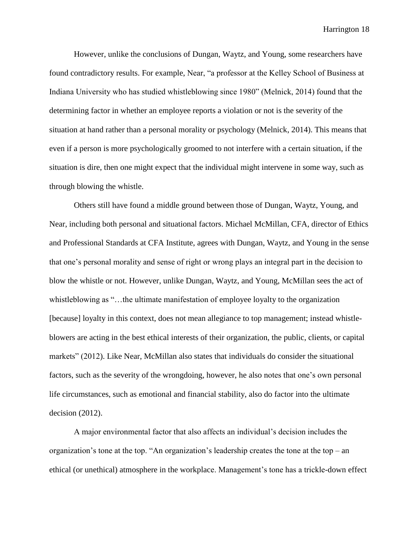However, unlike the conclusions of Dungan, Waytz, and Young, some researchers have found contradictory results. For example, Near, "a professor at the Kelley School of Business at Indiana University who has studied whistleblowing since 1980" (Melnick, 2014) found that the determining factor in whether an employee reports a violation or not is the severity of the situation at hand rather than a personal morality or psychology (Melnick, 2014). This means that even if a person is more psychologically groomed to not interfere with a certain situation, if the situation is dire, then one might expect that the individual might intervene in some way, such as through blowing the whistle.

Others still have found a middle ground between those of Dungan, Waytz, Young, and Near, including both personal and situational factors. Michael McMillan, CFA, director of Ethics and Professional Standards at CFA Institute, agrees with Dungan, Waytz, and Young in the sense that one's personal morality and sense of right or wrong plays an integral part in the decision to blow the whistle or not. However, unlike Dungan, Waytz, and Young, McMillan sees the act of whistleblowing as "…the ultimate manifestation of employee loyalty to the organization [because] loyalty in this context, does not mean allegiance to top management; instead whistleblowers are acting in the best ethical interests of their organization, the public, clients, or capital markets" (2012). Like Near, McMillan also states that individuals do consider the situational factors, such as the severity of the wrongdoing, however, he also notes that one's own personal life circumstances, such as emotional and financial stability, also do factor into the ultimate decision (2012).

A major environmental factor that also affects an individual's decision includes the organization's tone at the top. "An organization's leadership creates the tone at the top – an ethical (or unethical) atmosphere in the workplace. Management's tone has a trickle-down effect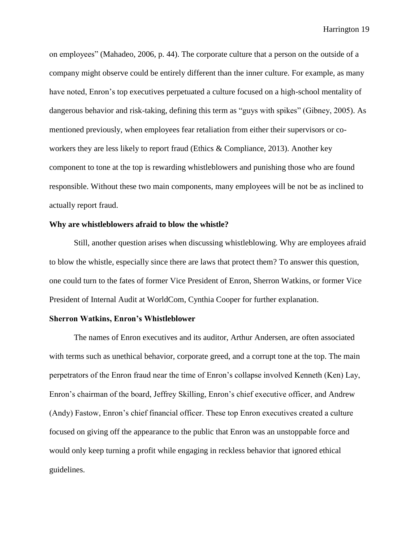on employees" (Mahadeo, 2006, p. 44). The corporate culture that a person on the outside of a company might observe could be entirely different than the inner culture. For example, as many have noted, Enron's top executives perpetuated a culture focused on a high-school mentality of dangerous behavior and risk-taking, defining this term as "guys with spikes" (Gibney, 2005). As mentioned previously, when employees fear retaliation from either their supervisors or coworkers they are less likely to report fraud (Ethics & Compliance, 2013). Another key component to tone at the top is rewarding whistleblowers and punishing those who are found responsible. Without these two main components, many employees will be not be as inclined to actually report fraud.

#### **Why are whistleblowers afraid to blow the whistle?**

Still, another question arises when discussing whistleblowing. Why are employees afraid to blow the whistle, especially since there are laws that protect them? To answer this question, one could turn to the fates of former Vice President of Enron, Sherron Watkins, or former Vice President of Internal Audit at WorldCom, Cynthia Cooper for further explanation.

#### **Sherron Watkins, Enron's Whistleblower**

The names of Enron executives and its auditor, Arthur Andersen, are often associated with terms such as unethical behavior, corporate greed, and a corrupt tone at the top. The main perpetrators of the Enron fraud near the time of Enron's collapse involved Kenneth (Ken) Lay, Enron's chairman of the board, Jeffrey Skilling, Enron's chief executive officer, and Andrew (Andy) Fastow, Enron's chief financial officer. These top Enron executives created a culture focused on giving off the appearance to the public that Enron was an unstoppable force and would only keep turning a profit while engaging in reckless behavior that ignored ethical guidelines.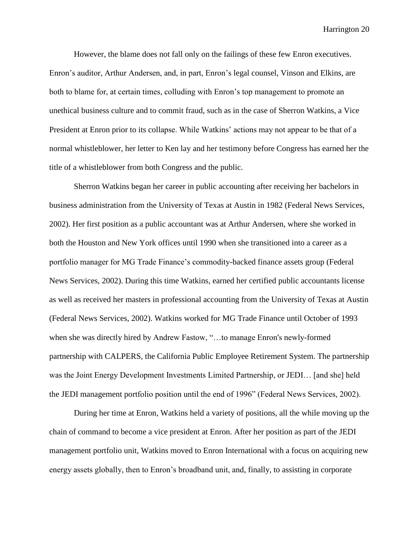However, the blame does not fall only on the failings of these few Enron executives. Enron's auditor, Arthur Andersen, and, in part, Enron's legal counsel, Vinson and Elkins, are both to blame for, at certain times, colluding with Enron's top management to promote an unethical business culture and to commit fraud, such as in the case of Sherron Watkins, a Vice President at Enron prior to its collapse. While Watkins' actions may not appear to be that of a normal whistleblower, her letter to Ken lay and her testimony before Congress has earned her the title of a whistleblower from both Congress and the public.

Sherron Watkins began her career in public accounting after receiving her bachelors in business administration from the University of Texas at Austin in 1982 (Federal News Services, 2002). Her first position as a public accountant was at Arthur Andersen, where she worked in both the Houston and New York offices until 1990 when she transitioned into a career as a portfolio manager for MG Trade Finance's commodity-backed finance assets group (Federal News Services, 2002). During this time Watkins, earned her certified public accountants license as well as received her masters in professional accounting from the University of Texas at Austin (Federal News Services, 2002). Watkins worked for MG Trade Finance until October of 1993 when she was directly hired by Andrew Fastow, "…to manage Enron's newly-formed partnership with CALPERS, the California Public Employee Retirement System. The partnership was the Joint Energy Development Investments Limited Partnership, or JEDI… [and she] held the JEDI management portfolio position until the end of 1996" (Federal News Services, 2002).

During her time at Enron, Watkins held a variety of positions, all the while moving up the chain of command to become a vice president at Enron. After her position as part of the JEDI management portfolio unit, Watkins moved to Enron International with a focus on acquiring new energy assets globally, then to Enron's broadband unit, and, finally, to assisting in corporate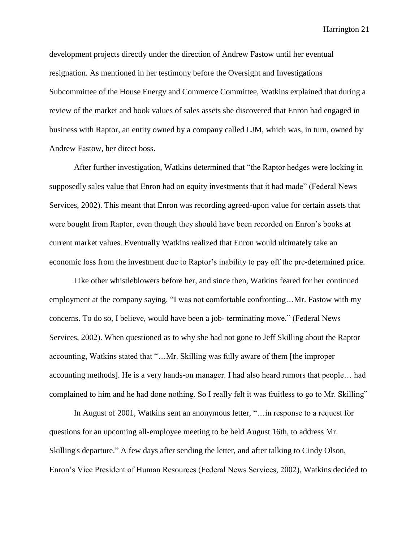development projects directly under the direction of Andrew Fastow until her eventual resignation. As mentioned in her testimony before the Oversight and Investigations Subcommittee of the House Energy and Commerce Committee, Watkins explained that during a review of the market and book values of sales assets she discovered that Enron had engaged in business with Raptor, an entity owned by a company called LJM, which was, in turn, owned by Andrew Fastow, her direct boss.

After further investigation, Watkins determined that "the Raptor hedges were locking in supposedly sales value that Enron had on equity investments that it had made" (Federal News Services, 2002). This meant that Enron was recording agreed-upon value for certain assets that were bought from Raptor, even though they should have been recorded on Enron's books at current market values. Eventually Watkins realized that Enron would ultimately take an economic loss from the investment due to Raptor's inability to pay off the pre-determined price.

Like other whistleblowers before her, and since then, Watkins feared for her continued employment at the company saying. "I was not comfortable confronting…Mr. Fastow with my concerns. To do so, I believe, would have been a job- terminating move." (Federal News Services, 2002). When questioned as to why she had not gone to Jeff Skilling about the Raptor accounting, Watkins stated that "…Mr. Skilling was fully aware of them [the improper accounting methods]. He is a very hands-on manager. I had also heard rumors that people… had complained to him and he had done nothing. So I really felt it was fruitless to go to Mr. Skilling"

In August of 2001, Watkins sent an anonymous letter, "…in response to a request for questions for an upcoming all-employee meeting to be held August 16th, to address Mr. Skilling's departure." A few days after sending the letter, and after talking to Cindy Olson, Enron's Vice President of Human Resources (Federal News Services, 2002), Watkins decided to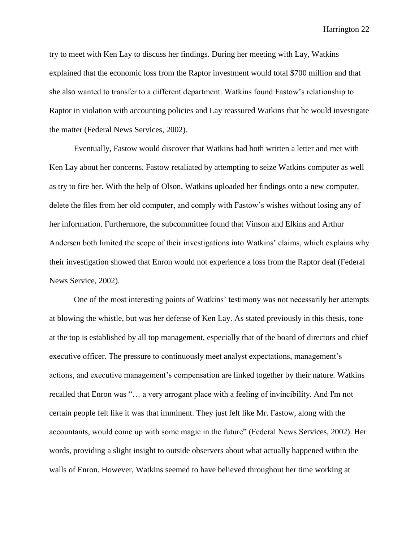try to meet with Ken Lay to discuss her findings. During her meeting with Lay, Watkins explained that the economic loss from the Raptor investment would total \$700 million and that she also wanted to transfer to a different department. Watkins found Fastow's relationship to Raptor in violation with accounting policies and Lay reassured Watkins that he would investigate the matter (Federal News Services, 2002).

Eventually, Fastow would discover that Watkins had both written a letter and met with Ken Lay about her concerns. Fastow retaliated by attempting to seize Watkins computer as well as try to fire her. With the help of Olson, Watkins uploaded her findings onto a new computer, delete the files from her old computer, and comply with Fastow's wishes without losing any of her information. Furthermore, the subcommittee found that Vinson and Elkins and Arthur Andersen both limited the scope of their investigations into Watkins' claims, which explains why their investigation showed that Enron would not experience a loss from the Raptor deal (Federal News Service, 2002).

One of the most interesting points of Watkins' testimony was not necessarily her attempts at blowing the whistle, but was her defense of Ken Lay. As stated previously in this thesis, tone at the top is established by all top management, especially that of the board of directors and chief executive officer. The pressure to continuously meet analyst expectations, management's actions, and executive management's compensation are linked together by their nature. Watkins recalled that Enron was "… a very arrogant place with a feeling of invincibility. And I'm not certain people felt like it was that imminent. They just felt like Mr. Fastow, along with the accountants, would come up with some magic in the future" (Federal News Services, 2002). Her words, providing a slight insight to outside observers about what actually happened within the walls of Enron. However, Watkins seemed to have believed throughout her time working at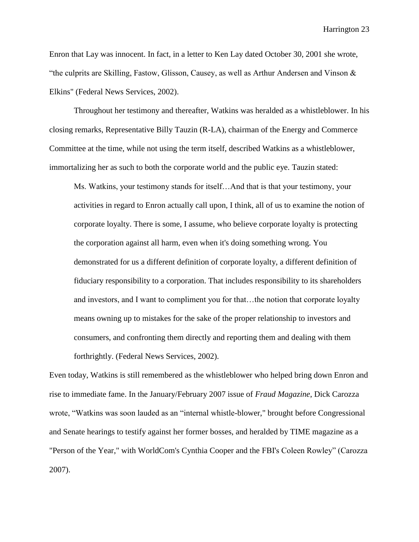Enron that Lay was innocent. In fact, in a letter to Ken Lay dated October 30, 2001 she wrote, "the culprits are Skilling, Fastow, Glisson, Causey, as well as Arthur Andersen and Vinson & Elkins" (Federal News Services, 2002).

Throughout her testimony and thereafter, Watkins was heralded as a whistleblower. In his closing remarks, Representative Billy Tauzin (R-LA), chairman of the Energy and Commerce Committee at the time, while not using the term itself, described Watkins as a whistleblower, immortalizing her as such to both the corporate world and the public eye. Tauzin stated:

Ms. Watkins, your testimony stands for itself…And that is that your testimony, your activities in regard to Enron actually call upon, I think, all of us to examine the notion of corporate loyalty. There is some, I assume, who believe corporate loyalty is protecting the corporation against all harm, even when it's doing something wrong. You demonstrated for us a different definition of corporate loyalty, a different definition of fiduciary responsibility to a corporation. That includes responsibility to its shareholders and investors, and I want to compliment you for that…the notion that corporate loyalty means owning up to mistakes for the sake of the proper relationship to investors and consumers, and confronting them directly and reporting them and dealing with them forthrightly. (Federal News Services, 2002).

Even today, Watkins is still remembered as the whistleblower who helped bring down Enron and rise to immediate fame. In the January/February 2007 issue of *Fraud Magazine*, Dick Carozza wrote, "Watkins was soon lauded as an "internal whistle-blower," brought before Congressional and Senate hearings to testify against her former bosses, and heralded by TIME magazine as a "Person of the Year," with WorldCom's Cynthia Cooper and the FBI's Coleen Rowley" (Carozza 2007).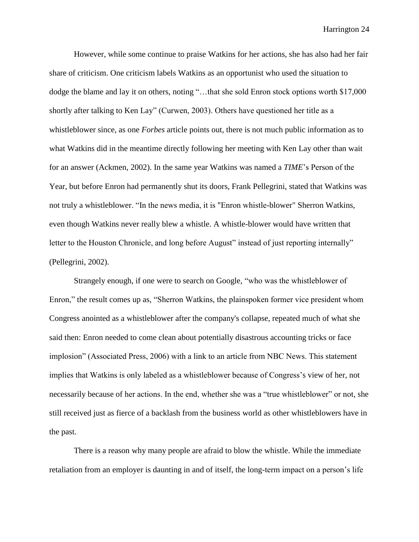However, while some continue to praise Watkins for her actions, she has also had her fair share of criticism. One criticism labels Watkins as an opportunist who used the situation to dodge the blame and lay it on others, noting "…that she sold Enron stock options worth \$17,000 shortly after talking to Ken Lay" (Curwen, 2003). Others have questioned her title as a whistleblower since, as one *Forbes* article points out, there is not much public information as to what Watkins did in the meantime directly following her meeting with Ken Lay other than wait for an answer (Ackmen, 2002). In the same year Watkins was named a *TIME*'s Person of the Year, but before Enron had permanently shut its doors, Frank Pellegrini, stated that Watkins was not truly a whistleblower. "In the news media, it is "Enron whistle-blower" Sherron Watkins, even though Watkins never really blew a whistle. A whistle-blower would have written that letter to the Houston Chronicle, and long before August" instead of just reporting internally" (Pellegrini, 2002).

Strangely enough, if one were to search on Google, "who was the whistleblower of Enron," the result comes up as, "Sherron Watkins, the plainspoken former vice president whom Congress anointed as a whistleblower after the company's collapse, repeated much of what she said then: Enron needed to come clean about potentially disastrous accounting tricks or face implosion" (Associated Press, 2006) with a link to an article from NBC News. This statement implies that Watkins is only labeled as a whistleblower because of Congress's view of her, not necessarily because of her actions. In the end, whether she was a "true whistleblower" or not, she still received just as fierce of a backlash from the business world as other whistleblowers have in the past.

There is a reason why many people are afraid to blow the whistle. While the immediate retaliation from an employer is daunting in and of itself, the long-term impact on a person's life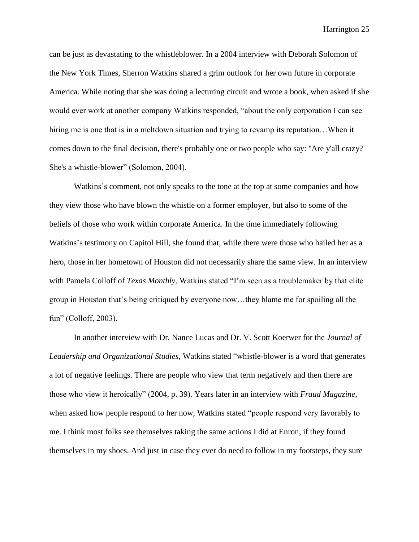can be just as devastating to the whistleblower. In a 2004 interview with Deborah Solomon of the New York Times, Sherron Watkins shared a grim outlook for her own future in corporate America. While noting that she was doing a lecturing circuit and wrote a book, when asked if she would ever work at another company Watkins responded, "about the only corporation I can see hiring me is one that is in a meltdown situation and trying to revamp its reputation...When it comes down to the final decision, there's probably one or two people who say: ''Are y'all crazy? She's a whistle-blower" (Solomon, 2004).

Watkins's comment, not only speaks to the tone at the top at some companies and how they view those who have blown the whistle on a former employer, but also to some of the beliefs of those who work within corporate America. In the time immediately following Watkins's testimony on Capitol Hill, she found that, while there were those who hailed her as a hero, those in her hometown of Houston did not necessarily share the same view. In an interview with Pamela Colloff of *Texas Monthly*, Watkins stated "I'm seen as a troublemaker by that elite group in Houston that's being critiqued by everyone now…they blame me for spoiling all the fun" (Colloff, 2003).

In another interview with Dr. Nance Lucas and Dr. V. Scott Koerwer for the *Journal of Leadership and Organizational Studies,* Watkins stated "whistle-blower is a word that generates a lot of negative feelings. There are people who view that term negatively and then there are those who view it heroically" (2004, p. 39). Years later in an interview with *Fraud Magazine*, when asked how people respond to her now, Watkins stated "people respond very favorably to me. I think most folks see themselves taking the same actions I did at Enron, if they found themselves in my shoes. And just in case they ever do need to follow in my footsteps, they sure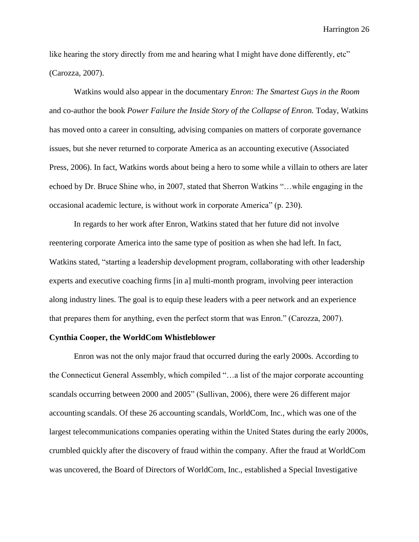like hearing the story directly from me and hearing what I might have done differently, etc" (Carozza, 2007).

Watkins would also appear in the documentary *Enron: The Smartest Guys in the Room* and co-author the book *Power Failure the Inside Story of the Collapse of Enron.* Today, Watkins has moved onto a career in consulting, advising companies on matters of corporate governance issues, but she never returned to corporate America as an accounting executive (Associated Press, 2006). In fact, Watkins words about being a hero to some while a villain to others are later echoed by Dr. Bruce Shine who, in 2007, stated that Sherron Watkins "…while engaging in the occasional academic lecture, is without work in corporate America" (p. 230).

In regards to her work after Enron, Watkins stated that her future did not involve reentering corporate America into the same type of position as when she had left. In fact, Watkins stated, "starting a leadership development program, collaborating with other leadership experts and executive coaching firms [in a] multi-month program, involving peer interaction along industry lines. The goal is to equip these leaders with a peer network and an experience that prepares them for anything, even the perfect storm that was Enron." (Carozza, 2007).

## **Cynthia Cooper, the WorldCom Whistleblower**

Enron was not the only major fraud that occurred during the early 2000s. According to the Connecticut General Assembly, which compiled "…a list of the major corporate accounting scandals occurring between 2000 and 2005" (Sullivan, 2006), there were 26 different major accounting scandals. Of these 26 accounting scandals, WorldCom, Inc., which was one of the largest telecommunications companies operating within the United States during the early 2000s, crumbled quickly after the discovery of fraud within the company. After the fraud at WorldCom was uncovered, the Board of Directors of WorldCom, Inc., established a Special Investigative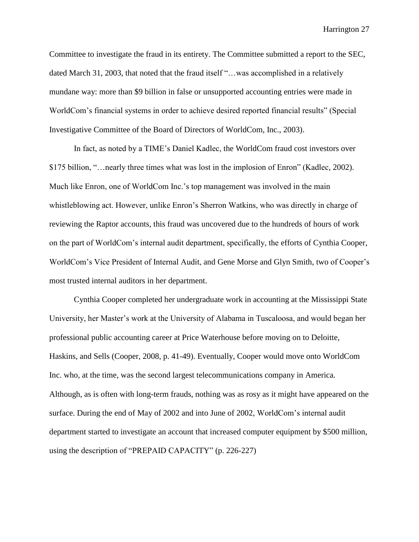Committee to investigate the fraud in its entirety. The Committee submitted a report to the SEC, dated March 31, 2003, that noted that the fraud itself "…was accomplished in a relatively mundane way: more than \$9 billion in false or unsupported accounting entries were made in WorldCom's financial systems in order to achieve desired reported financial results" (Special Investigative Committee of the Board of Directors of WorldCom, Inc., 2003).

In fact, as noted by a TIME's Daniel Kadlec, the WorldCom fraud cost investors over \$175 billion, "…nearly three times what was lost in the implosion of Enron" (Kadlec, 2002). Much like Enron, one of WorldCom Inc.'s top management was involved in the main whistleblowing act. However, unlike Enron's Sherron Watkins, who was directly in charge of reviewing the Raptor accounts, this fraud was uncovered due to the hundreds of hours of work on the part of WorldCom's internal audit department, specifically, the efforts of Cynthia Cooper, WorldCom's Vice President of Internal Audit, and Gene Morse and Glyn Smith, two of Cooper's most trusted internal auditors in her department.

Cynthia Cooper completed her undergraduate work in accounting at the Mississippi State University, her Master's work at the University of Alabama in Tuscaloosa, and would began her professional public accounting career at Price Waterhouse before moving on to Deloitte, Haskins, and Sells (Cooper, 2008, p. 41-49). Eventually, Cooper would move onto WorldCom Inc. who, at the time, was the second largest telecommunications company in America. Although, as is often with long-term frauds, nothing was as rosy as it might have appeared on the surface. During the end of May of 2002 and into June of 2002, WorldCom's internal audit department started to investigate an account that increased computer equipment by \$500 million, using the description of "PREPAID CAPACITY" (p. 226-227)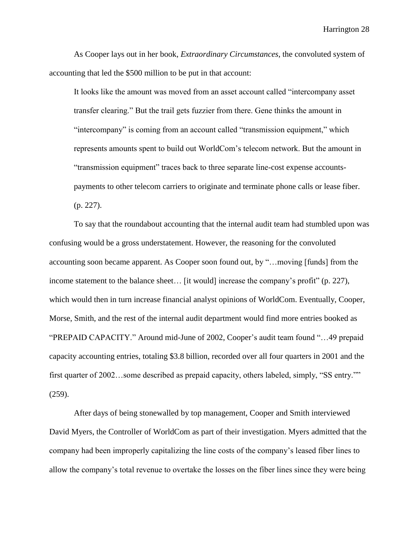As Cooper lays out in her book, *Extraordinary Circumstances*, the convoluted system of accounting that led the \$500 million to be put in that account:

It looks like the amount was moved from an asset account called "intercompany asset transfer clearing." But the trail gets fuzzier from there. Gene thinks the amount in "intercompany" is coming from an account called "transmission equipment," which represents amounts spent to build out WorldCom's telecom network. But the amount in "transmission equipment" traces back to three separate line-cost expense accountspayments to other telecom carriers to originate and terminate phone calls or lease fiber. (p. 227).

To say that the roundabout accounting that the internal audit team had stumbled upon was confusing would be a gross understatement. However, the reasoning for the convoluted accounting soon became apparent. As Cooper soon found out, by "…moving [funds] from the income statement to the balance sheet… [it would] increase the company's profit" (p. 227), which would then in turn increase financial analyst opinions of WorldCom. Eventually, Cooper, Morse, Smith, and the rest of the internal audit department would find more entries booked as "PREPAID CAPACITY." Around mid-June of 2002, Cooper's audit team found "…49 prepaid capacity accounting entries, totaling \$3.8 billion, recorded over all four quarters in 2001 and the first quarter of 2002…some described as prepaid capacity, others labeled, simply, "SS entry."" (259).

After days of being stonewalled by top management, Cooper and Smith interviewed David Myers, the Controller of WorldCom as part of their investigation. Myers admitted that the company had been improperly capitalizing the line costs of the company's leased fiber lines to allow the company's total revenue to overtake the losses on the fiber lines since they were being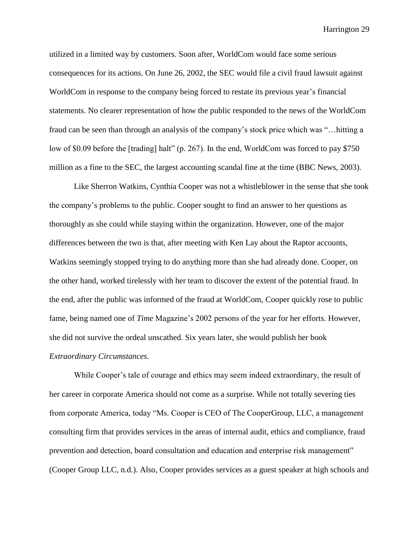utilized in a limited way by customers. Soon after, WorldCom would face some serious consequences for its actions. On June 26, 2002, the SEC would file a civil fraud lawsuit against WorldCom in response to the company being forced to restate its previous year's financial statements. No clearer representation of how the public responded to the news of the WorldCom fraud can be seen than through an analysis of the company's stock price which was "…hitting a low of \$0.09 before the [trading] halt" (p. 267). In the end, WorldCom was forced to pay \$750 million as a fine to the SEC, the largest accounting scandal fine at the time (BBC News, 2003).

Like Sherron Watkins, Cynthia Cooper was not a whistleblower in the sense that she took the company's problems to the public. Cooper sought to find an answer to her questions as thoroughly as she could while staying within the organization. However, one of the major differences between the two is that, after meeting with Ken Lay about the Raptor accounts, Watkins seemingly stopped trying to do anything more than she had already done. Cooper, on the other hand, worked tirelessly with her team to discover the extent of the potential fraud. In the end, after the public was informed of the fraud at WorldCom, Cooper quickly rose to public fame, being named one of *Time* Magazine's 2002 persons of the year for her efforts. However, she did not survive the ordeal unscathed. Six years later, she would publish her book *Extraordinary Circumstances*.

While Cooper's tale of courage and ethics may seem indeed extraordinary, the result of her career in corporate America should not come as a surprise. While not totally severing ties from corporate America, today "Ms. Cooper is CEO of The CooperGroup, LLC, a management consulting firm that provides services in the areas of internal audit, ethics and compliance, fraud prevention and detection, board consultation and education and enterprise risk management" (Cooper Group LLC, n.d.). Also, Cooper provides services as a guest speaker at high schools and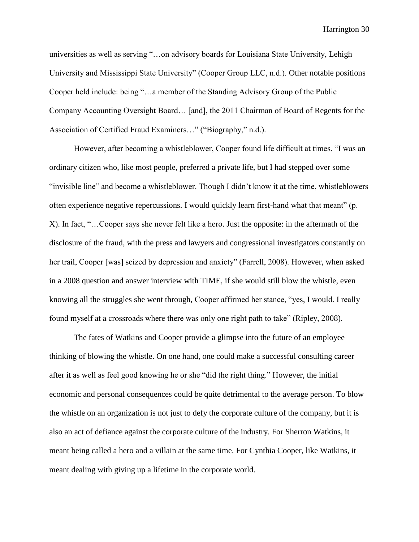universities as well as serving "…on advisory boards for Louisiana State University, Lehigh University and Mississippi State University" (Cooper Group LLC, n.d.). Other notable positions Cooper held include: being "…a member of the Standing Advisory Group of the Public Company Accounting Oversight Board… [and], the 2011 Chairman of Board of Regents for the Association of Certified Fraud Examiners…" ("Biography," n.d.).

However, after becoming a whistleblower, Cooper found life difficult at times. "I was an ordinary citizen who, like most people, preferred a private life, but I had stepped over some "invisible line" and become a whistleblower. Though I didn't know it at the time, whistleblowers often experience negative repercussions. I would quickly learn first-hand what that meant" (p. X). In fact, "…Cooper says she never felt like a hero. Just the opposite: in the aftermath of the disclosure of the fraud, with the press and lawyers and congressional investigators constantly on her trail, Cooper [was] seized by depression and anxiety" (Farrell, 2008). However, when asked in a 2008 question and answer interview with TIME, if she would still blow the whistle, even knowing all the struggles she went through, Cooper affirmed her stance, "yes, I would. I really found myself at a crossroads where there was only one right path to take" (Ripley, 2008).

The fates of Watkins and Cooper provide a glimpse into the future of an employee thinking of blowing the whistle. On one hand, one could make a successful consulting career after it as well as feel good knowing he or she "did the right thing." However, the initial economic and personal consequences could be quite detrimental to the average person. To blow the whistle on an organization is not just to defy the corporate culture of the company, but it is also an act of defiance against the corporate culture of the industry. For Sherron Watkins, it meant being called a hero and a villain at the same time. For Cynthia Cooper, like Watkins, it meant dealing with giving up a lifetime in the corporate world.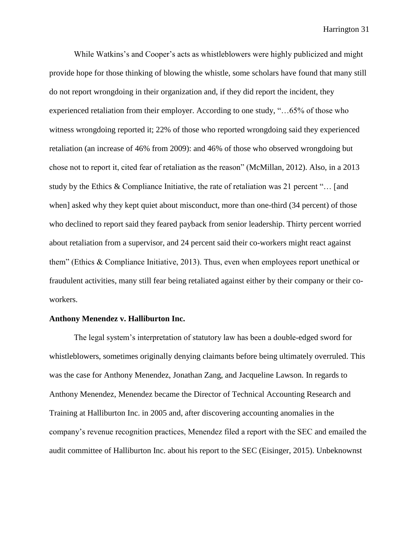While Watkins's and Cooper's acts as whistleblowers were highly publicized and might provide hope for those thinking of blowing the whistle, some scholars have found that many still do not report wrongdoing in their organization and, if they did report the incident, they experienced retaliation from their employer. According to one study, "…65% of those who witness wrongdoing reported it; 22% of those who reported wrongdoing said they experienced retaliation (an increase of 46% from 2009): and 46% of those who observed wrongdoing but chose not to report it, cited fear of retaliation as the reason" (McMillan, 2012). Also, in a 2013 study by the Ethics & Compliance Initiative, the rate of retaliation was 21 percent "… [and when] asked why they kept quiet about misconduct, more than one-third (34 percent) of those who declined to report said they feared payback from senior leadership. Thirty percent worried about retaliation from a supervisor, and 24 percent said their co-workers might react against them" (Ethics & Compliance Initiative, 2013). Thus, even when employees report unethical or fraudulent activities, many still fear being retaliated against either by their company or their coworkers.

#### **Anthony Menendez v. Halliburton Inc.**

The legal system's interpretation of statutory law has been a double-edged sword for whistleblowers, sometimes originally denying claimants before being ultimately overruled. This was the case for Anthony Menendez, Jonathan Zang, and Jacqueline Lawson. In regards to Anthony Menendez, Menendez became the Director of Technical Accounting Research and Training at Halliburton Inc. in 2005 and, after discovering accounting anomalies in the company's revenue recognition practices, Menendez filed a report with the SEC and emailed the audit committee of Halliburton Inc. about his report to the SEC (Eisinger, 2015). Unbeknownst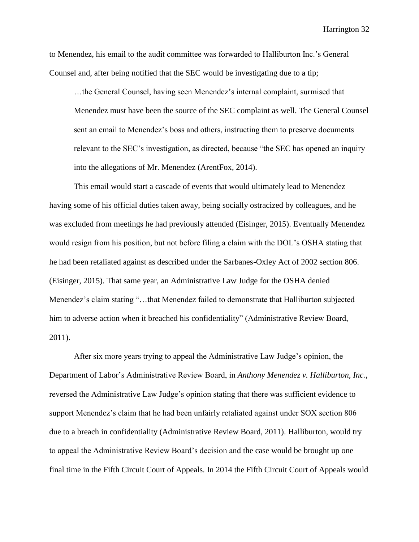to Menendez, his email to the audit committee was forwarded to Halliburton Inc.'s General Counsel and, after being notified that the SEC would be investigating due to a tip;

…the General Counsel, having seen Menendez's internal complaint, surmised that Menendez must have been the source of the SEC complaint as well. The General Counsel sent an email to Menendez's boss and others, instructing them to preserve documents relevant to the SEC's investigation, as directed, because "the SEC has opened an inquiry into the allegations of Mr. Menendez (ArentFox, 2014).

This email would start a cascade of events that would ultimately lead to Menendez having some of his official duties taken away, being socially ostracized by colleagues, and he was excluded from meetings he had previously attended (Eisinger, 2015). Eventually Menendez would resign from his position, but not before filing a claim with the DOL's OSHA stating that he had been retaliated against as described under the Sarbanes-Oxley Act of 2002 section 806. (Eisinger, 2015). That same year, an Administrative Law Judge for the OSHA denied Menendez's claim stating "…that Menendez failed to demonstrate that Halliburton subjected him to adverse action when it breached his confidentiality" (Administrative Review Board, 2011).

After six more years trying to appeal the Administrative Law Judge's opinion, the Department of Labor's Administrative Review Board, in *Anthony Menendez v. Halliburton, Inc.*, reversed the Administrative Law Judge's opinion stating that there was sufficient evidence to support Menendez's claim that he had been unfairly retaliated against under SOX section 806 due to a breach in confidentiality (Administrative Review Board, 2011). Halliburton, would try to appeal the Administrative Review Board's decision and the case would be brought up one final time in the Fifth Circuit Court of Appeals. In 2014 the Fifth Circuit Court of Appeals would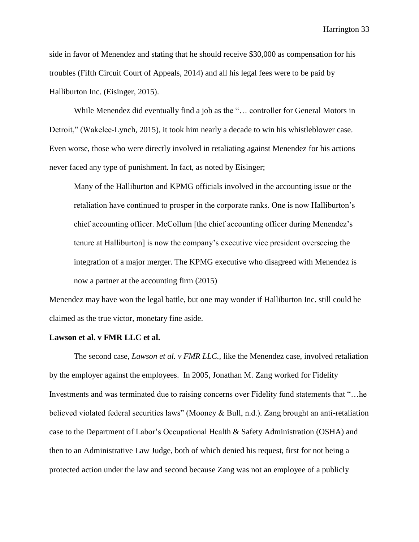side in favor of Menendez and stating that he should receive \$30,000 as compensation for his troubles (Fifth Circuit Court of Appeals, 2014) and all his legal fees were to be paid by Halliburton Inc. (Eisinger, 2015).

While Menendez did eventually find a job as the "… controller for General Motors in Detroit," (Wakelee-Lynch, 2015), it took him nearly a decade to win his whistleblower case. Even worse, those who were directly involved in retaliating against Menendez for his actions never faced any type of punishment. In fact, as noted by Eisinger;

Many of the Halliburton and KPMG officials involved in the accounting issue or the retaliation have continued to prosper in the corporate ranks. One is now Halliburton's chief accounting officer. McCollum [the chief accounting officer during Menendez's tenure at Halliburton] is now the company's executive vice president overseeing the integration of a major merger. The KPMG executive who disagreed with Menendez is now a partner at the accounting firm (2015)

Menendez may have won the legal battle, but one may wonder if Halliburton Inc. still could be claimed as the true victor, monetary fine aside.

#### **Lawson et al. v FMR LLC et al.**

The second case, *Lawson et al. v FMR LLC.,* like the Menendez case, involved retaliation by the employer against the employees. In 2005, Jonathan M. Zang worked for Fidelity Investments and was terminated due to raising concerns over Fidelity fund statements that "…he believed violated federal securities laws" (Mooney & Bull, n.d.). Zang brought an anti-retaliation case to the Department of Labor's Occupational Health & Safety Administration (OSHA) and then to an Administrative Law Judge, both of which denied his request, first for not being a protected action under the law and second because Zang was not an employee of a publicly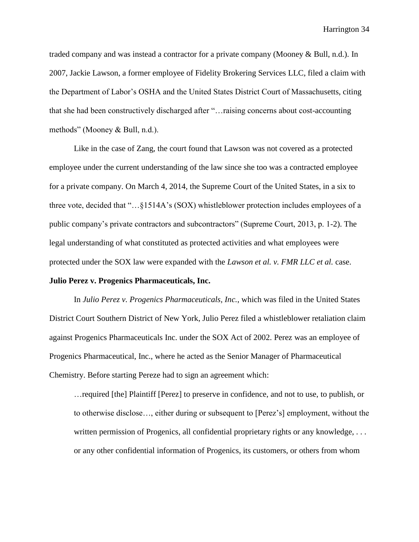traded company and was instead a contractor for a private company (Mooney & Bull, n.d.). In 2007, Jackie Lawson, a former employee of Fidelity Brokering Services LLC, filed a claim with the Department of Labor's OSHA and the United States District Court of Massachusetts, citing that she had been constructively discharged after "…raising concerns about cost-accounting methods" (Mooney & Bull, n.d.).

Like in the case of Zang, the court found that Lawson was not covered as a protected employee under the current understanding of the law since she too was a contracted employee for a private company. On March 4, 2014, the Supreme Court of the United States, in a six to three vote, decided that "…§1514A's (SOX) whistleblower protection includes employees of a public company's private contractors and subcontractors" (Supreme Court, 2013, p. 1-2). The legal understanding of what constituted as protected activities and what employees were protected under the SOX law were expanded with the *Lawson et al. v. FMR LLC et al.* case.

## **Julio Perez v. Progenics Pharmaceuticals, Inc.**

In *Julio Perez v. Progenics Pharmaceuticals, Inc.*, which was filed in the United States District Court Southern District of New York, Julio Perez filed a whistleblower retaliation claim against Progenics Pharmaceuticals Inc. under the SOX Act of 2002. Perez was an employee of Progenics Pharmaceutical, Inc., where he acted as the Senior Manager of Pharmaceutical Chemistry. Before starting Pereze had to sign an agreement which:

…required [the] Plaintiff [Perez] to preserve in confidence, and not to use, to publish, or to otherwise disclose…, either during or subsequent to [Perez's] employment, without the written permission of Progenics, all confidential proprietary rights or any knowledge, ... or any other confidential information of Progenics, its customers, or others from whom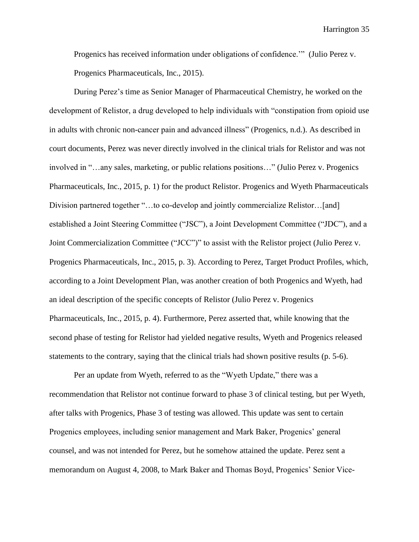Progenics has received information under obligations of confidence.'" (Julio Perez v. Progenics Pharmaceuticals, Inc., 2015).

During Perez's time as Senior Manager of Pharmaceutical Chemistry, he worked on the development of Relistor, a drug developed to help individuals with "constipation from opioid use in adults with chronic non-cancer pain and advanced illness" (Progenics, n.d.). As described in court documents, Perez was never directly involved in the clinical trials for Relistor and was not involved in "…any sales, marketing, or public relations positions…" (Julio Perez v. Progenics Pharmaceuticals, Inc., 2015, p. 1) for the product Relistor. Progenics and Wyeth Pharmaceuticals Division partnered together "…to co-develop and jointly commercialize Relistor…[and] established a Joint Steering Committee ("JSC"), a Joint Development Committee ("JDC"), and a Joint Commercialization Committee ("JCC")" to assist with the Relistor project (Julio Perez v. Progenics Pharmaceuticals, Inc., 2015, p. 3). According to Perez, Target Product Profiles, which, according to a Joint Development Plan, was another creation of both Progenics and Wyeth, had an ideal description of the specific concepts of Relistor (Julio Perez v. Progenics Pharmaceuticals, Inc., 2015, p. 4). Furthermore, Perez asserted that, while knowing that the second phase of testing for Relistor had yielded negative results, Wyeth and Progenics released statements to the contrary, saying that the clinical trials had shown positive results (p. 5-6).

Per an update from Wyeth, referred to as the "Wyeth Update," there was a recommendation that Relistor not continue forward to phase 3 of clinical testing, but per Wyeth, after talks with Progenics, Phase 3 of testing was allowed. This update was sent to certain Progenics employees, including senior management and Mark Baker, Progenics' general counsel, and was not intended for Perez, but he somehow attained the update. Perez sent a memorandum on August 4, 2008, to Mark Baker and Thomas Boyd, Progenics' Senior Vice-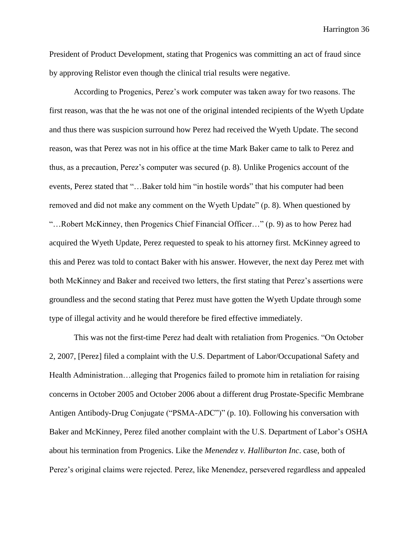President of Product Development, stating that Progenics was committing an act of fraud since by approving Relistor even though the clinical trial results were negative.

According to Progenics, Perez's work computer was taken away for two reasons. The first reason, was that the he was not one of the original intended recipients of the Wyeth Update and thus there was suspicion surround how Perez had received the Wyeth Update. The second reason, was that Perez was not in his office at the time Mark Baker came to talk to Perez and thus, as a precaution, Perez's computer was secured (p. 8). Unlike Progenics account of the events, Perez stated that "…Baker told him "in hostile words" that his computer had been removed and did not make any comment on the Wyeth Update" (p. 8). When questioned by "…Robert McKinney, then Progenics Chief Financial Officer…" (p. 9) as to how Perez had acquired the Wyeth Update, Perez requested to speak to his attorney first. McKinney agreed to this and Perez was told to contact Baker with his answer. However, the next day Perez met with both McKinney and Baker and received two letters, the first stating that Perez's assertions were groundless and the second stating that Perez must have gotten the Wyeth Update through some type of illegal activity and he would therefore be fired effective immediately.

This was not the first-time Perez had dealt with retaliation from Progenics. "On October 2, 2007, [Perez] filed a complaint with the U.S. Department of Labor/Occupational Safety and Health Administration…alleging that Progenics failed to promote him in retaliation for raising concerns in October 2005 and October 2006 about a different drug Prostate-Specific Membrane Antigen Antibody-Drug Conjugate ("PSMA-ADC")" (p. 10). Following his conversation with Baker and McKinney, Perez filed another complaint with the U.S. Department of Labor's OSHA about his termination from Progenics. Like the *Menendez v. Halliburton Inc*. case, both of Perez's original claims were rejected. Perez, like Menendez, persevered regardless and appealed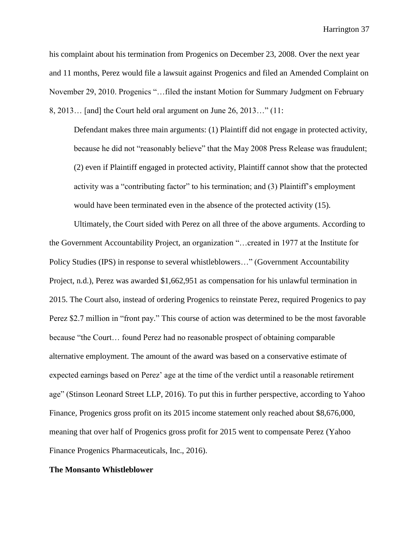his complaint about his termination from Progenics on December 23, 2008. Over the next year and 11 months, Perez would file a lawsuit against Progenics and filed an Amended Complaint on November 29, 2010. Progenics "…filed the instant Motion for Summary Judgment on February 8, 2013… [and] the Court held oral argument on June 26, 2013…" (11:

Defendant makes three main arguments: (1) Plaintiff did not engage in protected activity, because he did not "reasonably believe" that the May 2008 Press Release was fraudulent; (2) even if Plaintiff engaged in protected activity, Plaintiff cannot show that the protected activity was a "contributing factor" to his termination; and (3) Plaintiff's employment would have been terminated even in the absence of the protected activity (15).

Ultimately, the Court sided with Perez on all three of the above arguments. According to the Government Accountability Project, an organization "…created in 1977 at the Institute for Policy Studies (IPS) in response to several whistleblowers…" (Government Accountability Project, n.d.), Perez was awarded \$1,662,951 as compensation for his unlawful termination in 2015. The Court also, instead of ordering Progenics to reinstate Perez, required Progenics to pay Perez \$2.7 million in "front pay." This course of action was determined to be the most favorable because "the Court… found Perez had no reasonable prospect of obtaining comparable alternative employment. The amount of the award was based on a conservative estimate of expected earnings based on Perez' age at the time of the verdict until a reasonable retirement age" (Stinson Leonard Street LLP, 2016). To put this in further perspective, according to Yahoo Finance, Progenics gross profit on its 2015 income statement only reached about \$8,676,000, meaning that over half of Progenics gross profit for 2015 went to compensate Perez (Yahoo Finance Progenics Pharmaceuticals, Inc., 2016).

#### **The Monsanto Whistleblower**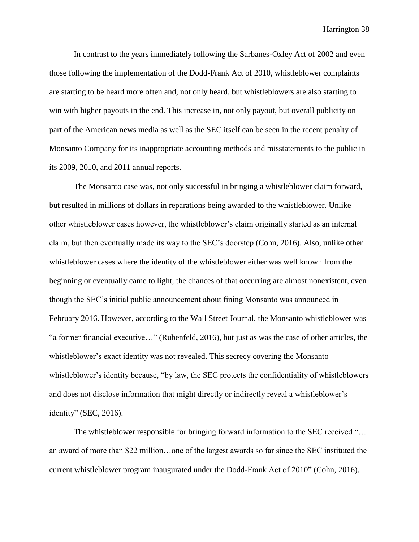In contrast to the years immediately following the Sarbanes-Oxley Act of 2002 and even those following the implementation of the Dodd-Frank Act of 2010, whistleblower complaints are starting to be heard more often and, not only heard, but whistleblowers are also starting to win with higher payouts in the end. This increase in, not only payout, but overall publicity on part of the American news media as well as the SEC itself can be seen in the recent penalty of Monsanto Company for its inappropriate accounting methods and misstatements to the public in its 2009, 2010, and 2011 annual reports.

The Monsanto case was, not only successful in bringing a whistleblower claim forward, but resulted in millions of dollars in reparations being awarded to the whistleblower. Unlike other whistleblower cases however, the whistleblower's claim originally started as an internal claim, but then eventually made its way to the SEC's doorstep (Cohn, 2016). Also, unlike other whistleblower cases where the identity of the whistleblower either was well known from the beginning or eventually came to light, the chances of that occurring are almost nonexistent, even though the SEC's initial public announcement about fining Monsanto was announced in February 2016. However, according to the Wall Street Journal, the Monsanto whistleblower was "a former financial executive…" (Rubenfeld, 2016), but just as was the case of other articles, the whistleblower's exact identity was not revealed. This secrecy covering the Monsanto whistleblower's identity because, "by law, the SEC protects the confidentiality of whistleblowers and does not disclose information that might directly or indirectly reveal a whistleblower's identity" (SEC, 2016).

The whistleblower responsible for bringing forward information to the SEC received "... an award of more than \$22 million…one of the largest awards so far since the SEC instituted the current whistleblower program inaugurated under the Dodd-Frank Act of 2010" (Cohn, 2016).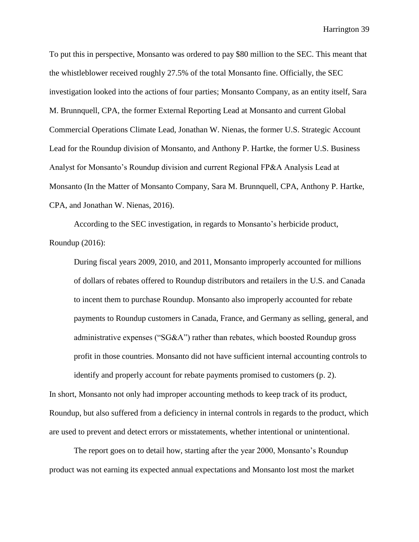To put this in perspective, Monsanto was ordered to pay \$80 million to the SEC. This meant that the whistleblower received roughly 27.5% of the total Monsanto fine. Officially, the SEC investigation looked into the actions of four parties; Monsanto Company, as an entity itself, Sara M. Brunnquell, CPA, the former External Reporting Lead at Monsanto and current Global Commercial Operations Climate Lead, Jonathan W. Nienas, the former U.S. Strategic Account Lead for the Roundup division of Monsanto, and Anthony P. Hartke, the former U.S. Business Analyst for Monsanto's Roundup division and current Regional FP&A Analysis Lead at Monsanto (In the Matter of Monsanto Company, Sara M. Brunnquell, CPA, Anthony P. Hartke, CPA, and Jonathan W. Nienas, 2016).

According to the SEC investigation, in regards to Monsanto's herbicide product, Roundup (2016):

During fiscal years 2009, 2010, and 2011, Monsanto improperly accounted for millions of dollars of rebates offered to Roundup distributors and retailers in the U.S. and Canada to incent them to purchase Roundup. Monsanto also improperly accounted for rebate payments to Roundup customers in Canada, France, and Germany as selling, general, and administrative expenses ("SG&A") rather than rebates, which boosted Roundup gross profit in those countries. Monsanto did not have sufficient internal accounting controls to identify and properly account for rebate payments promised to customers (p. 2).

In short, Monsanto not only had improper accounting methods to keep track of its product, Roundup, but also suffered from a deficiency in internal controls in regards to the product, which are used to prevent and detect errors or misstatements, whether intentional or unintentional.

The report goes on to detail how, starting after the year 2000, Monsanto's Roundup product was not earning its expected annual expectations and Monsanto lost most the market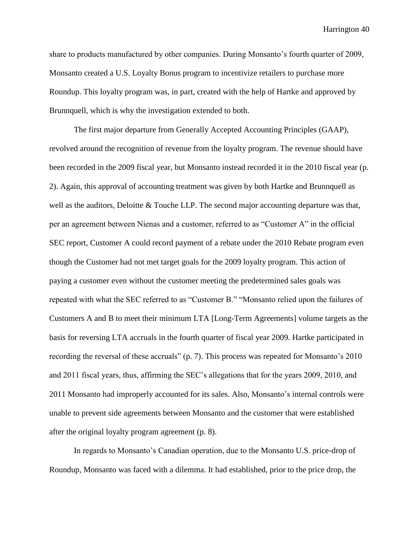share to products manufactured by other companies. During Monsanto's fourth quarter of 2009, Monsanto created a U.S. Loyalty Bonus program to incentivize retailers to purchase more Roundup. This loyalty program was, in part, created with the help of Hartke and approved by Brunnquell, which is why the investigation extended to both.

The first major departure from Generally Accepted Accounting Principles (GAAP), revolved around the recognition of revenue from the loyalty program. The revenue should have been recorded in the 2009 fiscal year, but Monsanto instead recorded it in the 2010 fiscal year (p. 2). Again, this approval of accounting treatment was given by both Hartke and Brunnquell as well as the auditors, Deloitte & Touche LLP. The second major accounting departure was that, per an agreement between Nienas and a customer, referred to as "Customer A" in the official SEC report, Customer A could record payment of a rebate under the 2010 Rebate program even though the Customer had not met target goals for the 2009 loyalty program. This action of paying a customer even without the customer meeting the predetermined sales goals was repeated with what the SEC referred to as "Customer B." "Monsanto relied upon the failures of Customers A and B to meet their minimum LTA [Long-Term Agreements] volume targets as the basis for reversing LTA accruals in the fourth quarter of fiscal year 2009. Hartke participated in recording the reversal of these accruals" (p. 7). This process was repeated for Monsanto's 2010 and 2011 fiscal years, thus, affirming the SEC's allegations that for the years 2009, 2010, and 2011 Monsanto had improperly accounted for its sales. Also, Monsanto's internal controls were unable to prevent side agreements between Monsanto and the customer that were established after the original loyalty program agreement (p. 8).

In regards to Monsanto's Canadian operation, due to the Monsanto U.S. price-drop of Roundup, Monsanto was faced with a dilemma. It had established, prior to the price drop, the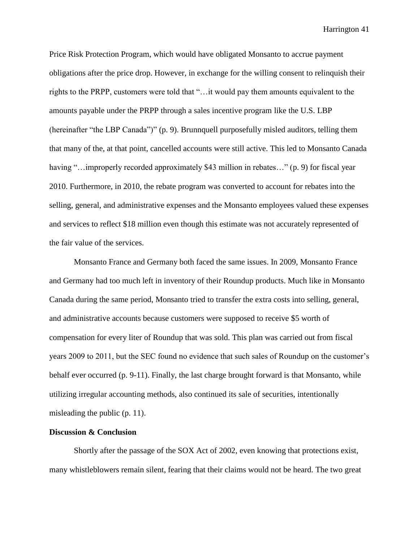Price Risk Protection Program, which would have obligated Monsanto to accrue payment obligations after the price drop. However, in exchange for the willing consent to relinquish their rights to the PRPP, customers were told that "…it would pay them amounts equivalent to the amounts payable under the PRPP through a sales incentive program like the U.S. LBP (hereinafter "the LBP Canada")" (p. 9). Brunnquell purposefully misled auditors, telling them that many of the, at that point, cancelled accounts were still active. This led to Monsanto Canada having "…improperly recorded approximately \$43 million in rebates…" (p. 9) for fiscal year 2010. Furthermore, in 2010, the rebate program was converted to account for rebates into the selling, general, and administrative expenses and the Monsanto employees valued these expenses and services to reflect \$18 million even though this estimate was not accurately represented of the fair value of the services.

Monsanto France and Germany both faced the same issues. In 2009, Monsanto France and Germany had too much left in inventory of their Roundup products. Much like in Monsanto Canada during the same period, Monsanto tried to transfer the extra costs into selling, general, and administrative accounts because customers were supposed to receive \$5 worth of compensation for every liter of Roundup that was sold. This plan was carried out from fiscal years 2009 to 2011, but the SEC found no evidence that such sales of Roundup on the customer's behalf ever occurred (p. 9-11). Finally, the last charge brought forward is that Monsanto, while utilizing irregular accounting methods, also continued its sale of securities, intentionally misleading the public (p. 11).

## **Discussion & Conclusion**

Shortly after the passage of the SOX Act of 2002, even knowing that protections exist, many whistleblowers remain silent, fearing that their claims would not be heard. The two great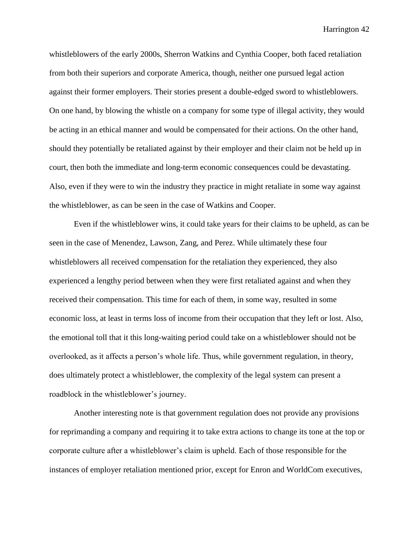whistleblowers of the early 2000s, Sherron Watkins and Cynthia Cooper, both faced retaliation from both their superiors and corporate America, though, neither one pursued legal action against their former employers. Their stories present a double-edged sword to whistleblowers. On one hand, by blowing the whistle on a company for some type of illegal activity, they would be acting in an ethical manner and would be compensated for their actions. On the other hand, should they potentially be retaliated against by their employer and their claim not be held up in court, then both the immediate and long-term economic consequences could be devastating. Also, even if they were to win the industry they practice in might retaliate in some way against the whistleblower, as can be seen in the case of Watkins and Cooper.

Even if the whistleblower wins, it could take years for their claims to be upheld, as can be seen in the case of Menendez, Lawson, Zang, and Perez. While ultimately these four whistleblowers all received compensation for the retaliation they experienced, they also experienced a lengthy period between when they were first retaliated against and when they received their compensation. This time for each of them, in some way, resulted in some economic loss, at least in terms loss of income from their occupation that they left or lost. Also, the emotional toll that it this long-waiting period could take on a whistleblower should not be overlooked, as it affects a person's whole life. Thus, while government regulation, in theory, does ultimately protect a whistleblower, the complexity of the legal system can present a roadblock in the whistleblower's journey.

Another interesting note is that government regulation does not provide any provisions for reprimanding a company and requiring it to take extra actions to change its tone at the top or corporate culture after a whistleblower's claim is upheld. Each of those responsible for the instances of employer retaliation mentioned prior, except for Enron and WorldCom executives,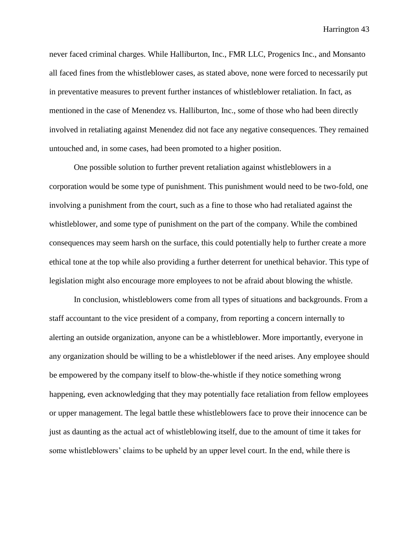never faced criminal charges. While Halliburton, Inc., FMR LLC, Progenics Inc., and Monsanto all faced fines from the whistleblower cases, as stated above, none were forced to necessarily put in preventative measures to prevent further instances of whistleblower retaliation. In fact, as mentioned in the case of Menendez vs. Halliburton, Inc., some of those who had been directly involved in retaliating against Menendez did not face any negative consequences. They remained untouched and, in some cases, had been promoted to a higher position.

One possible solution to further prevent retaliation against whistleblowers in a corporation would be some type of punishment. This punishment would need to be two-fold, one involving a punishment from the court, such as a fine to those who had retaliated against the whistleblower, and some type of punishment on the part of the company. While the combined consequences may seem harsh on the surface, this could potentially help to further create a more ethical tone at the top while also providing a further deterrent for unethical behavior. This type of legislation might also encourage more employees to not be afraid about blowing the whistle.

In conclusion, whistleblowers come from all types of situations and backgrounds. From a staff accountant to the vice president of a company, from reporting a concern internally to alerting an outside organization, anyone can be a whistleblower. More importantly, everyone in any organization should be willing to be a whistleblower if the need arises. Any employee should be empowered by the company itself to blow-the-whistle if they notice something wrong happening, even acknowledging that they may potentially face retaliation from fellow employees or upper management. The legal battle these whistleblowers face to prove their innocence can be just as daunting as the actual act of whistleblowing itself, due to the amount of time it takes for some whistleblowers' claims to be upheld by an upper level court. In the end, while there is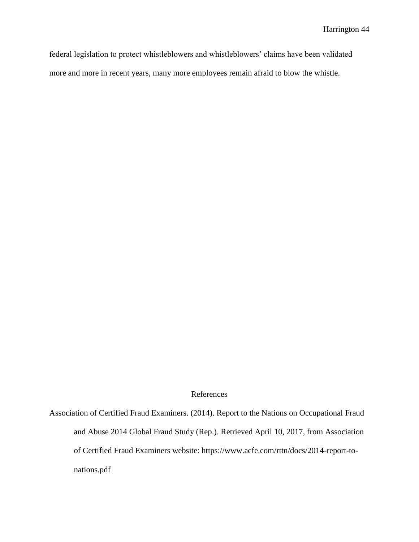federal legislation to protect whistleblowers and whistleblowers' claims have been validated more and more in recent years, many more employees remain afraid to blow the whistle.

#### References

Association of Certified Fraud Examiners. (2014). Report to the Nations on Occupational Fraud and Abuse 2014 Global Fraud Study (Rep.). Retrieved April 10, 2017, from Association of Certified Fraud Examiners website: https://www.acfe.com/rttn/docs/2014-report-tonations.pdf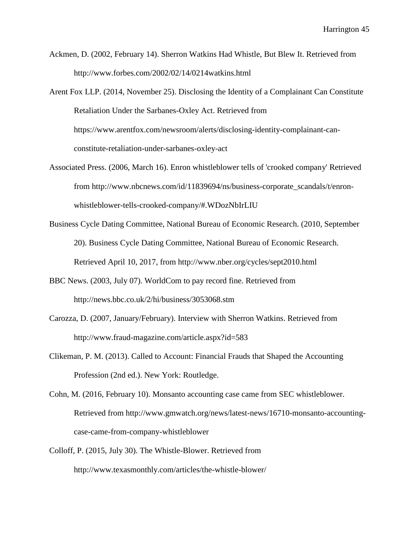- Ackmen, D. (2002, February 14). Sherron Watkins Had Whistle, But Blew It. Retrieved from http://www.forbes.com/2002/02/14/0214watkins.html
- Arent Fox LLP. (2014, November 25). Disclosing the Identity of a Complainant Can Constitute Retaliation Under the Sarbanes-Oxley Act. Retrieved from https://www.arentfox.com/newsroom/alerts/disclosing-identity-complainant-canconstitute-retaliation-under-sarbanes-oxley-act
- Associated Press. (2006, March 16). Enron whistleblower tells of 'crooked company' Retrieved from http://www.nbcnews.com/id/11839694/ns/business-corporate\_scandals/t/enronwhistleblower-tells-crooked-company/#.WDozNbIrLIU
- Business Cycle Dating Committee, National Bureau of Economic Research. (2010, September 20). Business Cycle Dating Committee, National Bureau of Economic Research. Retrieved April 10, 2017, from http://www.nber.org/cycles/sept2010.html
- BBC News. (2003, July 07). WorldCom to pay record fine. Retrieved from http://news.bbc.co.uk/2/hi/business/3053068.stm
- Carozza, D. (2007, January/February). Interview with Sherron Watkins. Retrieved from http://www.fraud-magazine.com/article.aspx?id=583
- Clikeman, P. M. (2013). Called to Account: Financial Frauds that Shaped the Accounting Profession (2nd ed.). New York: Routledge.
- Cohn, M. (2016, February 10). Monsanto accounting case came from SEC whistleblower. Retrieved from http://www.gmwatch.org/news/latest-news/16710-monsanto-accountingcase-came-from-company-whistleblower
- Colloff, P. (2015, July 30). The Whistle-Blower. Retrieved from http://www.texasmonthly.com/articles/the-whistle-blower/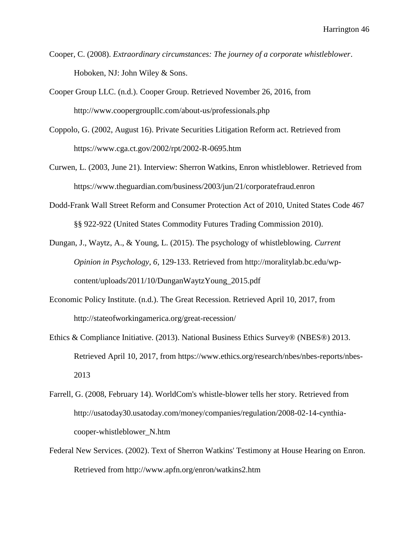- Cooper, C. (2008). *Extraordinary circumstances: The journey of a corporate whistleblower*. Hoboken, NJ: John Wiley & Sons.
- Cooper Group LLC. (n.d.). Cooper Group. Retrieved November 26, 2016, from http://www.coopergroupllc.com/about-us/professionals.php
- Coppolo, G. (2002, August 16). Private Securities Litigation Reform act. Retrieved from https://www.cga.ct.gov/2002/rpt/2002-R-0695.htm
- Curwen, L. (2003, June 21). Interview: Sherron Watkins, Enron whistleblower. Retrieved from https://www.theguardian.com/business/2003/jun/21/corporatefraud.enron
- Dodd-Frank Wall Street Reform and Consumer Protection Act of 2010, United States Code 467 §§ 922-922 (United States Commodity Futures Trading Commission 2010).
- Dungan, J., Waytz, A., & Young, L. (2015). The psychology of whistleblowing. *Current Opinion in Psychology, 6*, 129-133. Retrieved from http://moralitylab.bc.edu/wpcontent/uploads/2011/10/DunganWaytzYoung\_2015.pdf
- Economic Policy Institute. (n.d.). The Great Recession. Retrieved April 10, 2017, from http://stateofworkingamerica.org/great-recession/
- Ethics & Compliance Initiative. (2013). National Business Ethics Survey® (NBES®) 2013. Retrieved April 10, 2017, from https://www.ethics.org/research/nbes/nbes-reports/nbes-2013
- Farrell, G. (2008, February 14). WorldCom's whistle-blower tells her story. Retrieved from http://usatoday30.usatoday.com/money/companies/regulation/2008-02-14-cynthiacooper-whistleblower\_N.htm
- Federal New Services. (2002). Text of Sherron Watkins' Testimony at House Hearing on Enron. Retrieved from http://www.apfn.org/enron/watkins2.htm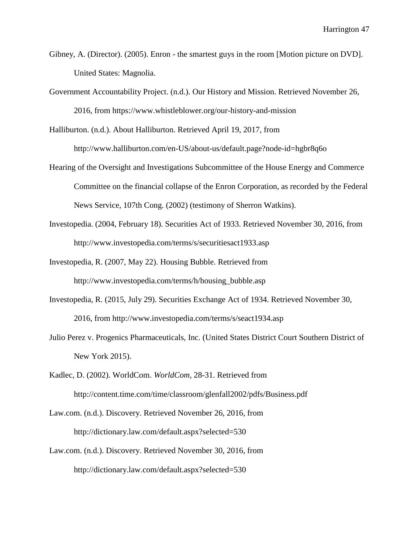- Gibney, A. (Director). (2005). Enron the smartest guys in the room [Motion picture on DVD]. United States: Magnolia.
- Government Accountability Project. (n.d.). Our History and Mission. Retrieved November 26, 2016, from https://www.whistleblower.org/our-history-and-mission

Halliburton. (n.d.). About Halliburton. Retrieved April 19, 2017, from

http://www.halliburton.com/en-US/about-us/default.page?node-id=hgbr8q6o

- Hearing of the Oversight and Investigations Subcommittee of the House Energy and Commerce Committee on the financial collapse of the Enron Corporation, as recorded by the Federal News Service, 107th Cong. (2002) (testimony of Sherron Watkins).
- Investopedia. (2004, February 18). Securities Act of 1933. Retrieved November 30, 2016, from http://www.investopedia.com/terms/s/securitiesact1933.asp
- Investopedia, R. (2007, May 22). Housing Bubble. Retrieved from http://www.investopedia.com/terms/h/housing\_bubble.asp
- Investopedia, R. (2015, July 29). Securities Exchange Act of 1934. Retrieved November 30, 2016, from http://www.investopedia.com/terms/s/seact1934.asp
- Julio Perez v. Progenics Pharmaceuticals, Inc. (United States District Court Southern District of New York 2015).
- Kadlec, D. (2002). WorldCom. *WorldCom,* 28-31. Retrieved from http://content.time.com/time/classroom/glenfall2002/pdfs/Business.pdf
- Law.com. (n.d.). Discovery. Retrieved November 26, 2016, from http://dictionary.law.com/default.aspx?selected=530
- Law.com. (n.d.). Discovery. Retrieved November 30, 2016, from http://dictionary.law.com/default.aspx?selected=530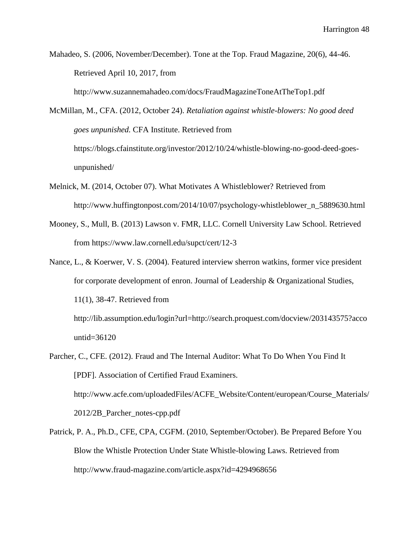Mahadeo, S. (2006, November/December). Tone at the Top. Fraud Magazine, 20(6), 44-46. Retrieved April 10, 2017, from

http://www.suzannemahadeo.com/docs/FraudMagazineToneAtTheTop1.pdf

McMillan, M., CFA. (2012, October 24). *Retaliation against whistle-blowers: No good deed goes unpunished.* CFA Institute. Retrieved from https://blogs.cfainstitute.org/investor/2012/10/24/whistle-blowing-no-good-deed-goesunpunished/

- Melnick, M. (2014, October 07). What Motivates A Whistleblower? Retrieved from http://www.huffingtonpost.com/2014/10/07/psychology-whistleblower\_n\_5889630.html
- Mooney, S., Mull, B. (2013) Lawson v. FMR, LLC. Cornell University Law School. Retrieved from https://www.law.cornell.edu/supct/cert/12-3
- Nance, L., & Koerwer, V. S. (2004). Featured interview sherron watkins, former vice president for corporate development of enron. Journal of Leadership & Organizational Studies, 11(1), 38-47. Retrieved from http://lib.assumption.edu/login?url=http://search.proquest.com/docview/203143575?acco untid=36120
- Parcher, C., CFE. (2012). Fraud and The Internal Auditor: What To Do When You Find It [PDF]. Association of Certified Fraud Examiners. http://www.acfe.com/uploadedFiles/ACFE\_Website/Content/european/Course\_Materials/ 2012/2B\_Parcher\_notes-cpp.pdf
- Patrick, P. A., Ph.D., CFE, CPA, CGFM. (2010, September/October). Be Prepared Before You Blow the Whistle Protection Under State Whistle-blowing Laws. Retrieved from http://www.fraud-magazine.com/article.aspx?id=4294968656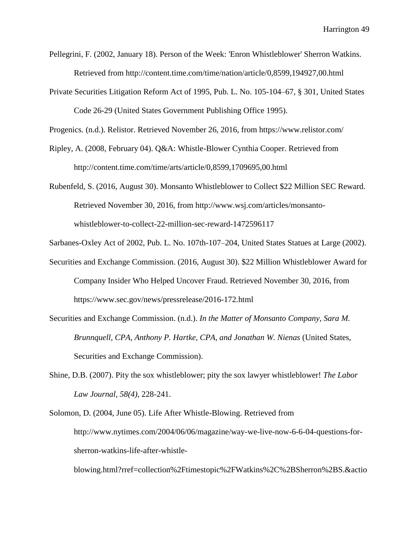- Pellegrini, F. (2002, January 18). Person of the Week: 'Enron Whistleblower' Sherron Watkins. Retrieved from http://content.time.com/time/nation/article/0,8599,194927,00.html
- Private Securities Litigation Reform Act of 1995, Pub. L. No. 105-104–67, § 301, United States Code 26-29 (United States Government Publishing Office 1995).

Progenics. (n.d.). Relistor. Retrieved November 26, 2016, from https://www.relistor.com/

- Ripley, A. (2008, February 04). Q&A: Whistle-Blower Cynthia Cooper. Retrieved from http://content.time.com/time/arts/article/0,8599,1709695,00.html
- Rubenfeld, S. (2016, August 30). Monsanto Whistleblower to Collect \$22 Million SEC Reward. Retrieved November 30, 2016, from http://www.wsj.com/articles/monsantowhistleblower-to-collect-22-million-sec-reward-1472596117
- Sarbanes-Oxley Act of 2002, Pub. L. No. 107th-107–204, United States Statues at Large (2002).
- Securities and Exchange Commission. (2016, August 30). \$22 Million Whistleblower Award for Company Insider Who Helped Uncover Fraud. Retrieved November 30, 2016, from https://www.sec.gov/news/pressrelease/2016-172.html
- Securities and Exchange Commission. (n.d.). *In the Matter of Monsanto Company, Sara M. Brunnquell, CPA, Anthony P. Hartke, CPA, and Jonathan W. Nienas* (United States, Securities and Exchange Commission).
- Shine, D.B. (2007). Pity the sox whistleblower; pity the sox lawyer whistleblower! *The Labor Law Journal*, *58(4)*, 228-241.
- Solomon, D. (2004, June 05). Life After Whistle-Blowing. Retrieved from http://www.nytimes.com/2004/06/06/magazine/way-we-live-now-6-6-04-questions-forsherron-watkins-life-after-whistle-

blowing.html?rref=collection%2Ftimestopic%2FWatkins%2C%2BSherron%2BS.&actio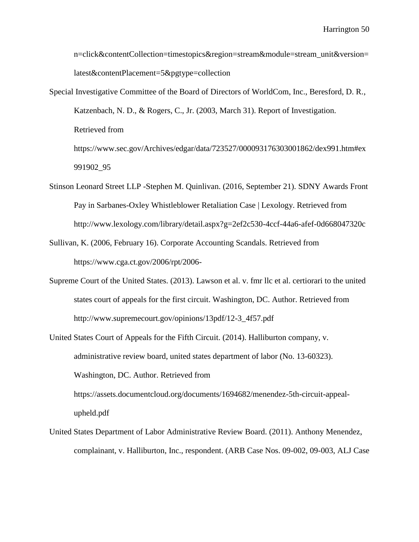n=click&contentCollection=timestopics&region=stream&module=stream\_unit&version= latest&contentPlacement=5&pgtype=collection

- Special Investigative Committee of the Board of Directors of WorldCom, Inc., Beresford, D. R., Katzenbach, N. D., & Rogers, C., Jr. (2003, March 31). Report of Investigation. Retrieved from https://www.sec.gov/Archives/edgar/data/723527/000093176303001862/dex991.htm#ex 991902\_95
- Stinson Leonard Street LLP -Stephen M. Quinlivan. (2016, September 21). SDNY Awards Front Pay in Sarbanes-Oxley Whistleblower Retaliation Case | Lexology. Retrieved from http://www.lexology.com/library/detail.aspx?g=2ef2c530-4ccf-44a6-afef-0d668047320c
- Sullivan, K. (2006, February 16). Corporate Accounting Scandals. Retrieved from https://www.cga.ct.gov/2006/rpt/2006-
- Supreme Court of the United States. (2013). Lawson et al. v. fmr llc et al. certiorari to the united states court of appeals for the first circuit. Washington, DC. Author. Retrieved from http://www.supremecourt.gov/opinions/13pdf/12-3\_4f57.pdf
- United States Court of Appeals for the Fifth Circuit. (2014). Halliburton company, v. administrative review board, united states department of labor (No. 13-60323). Washington, DC. Author. Retrieved from https://assets.documentcloud.org/documents/1694682/menendez-5th-circuit-appealupheld.pdf
- United States Department of Labor Administrative Review Board. (2011). Anthony Menendez, complainant, v. Halliburton, Inc., respondent. (ARB Case Nos. 09-002, 09-003, ALJ Case